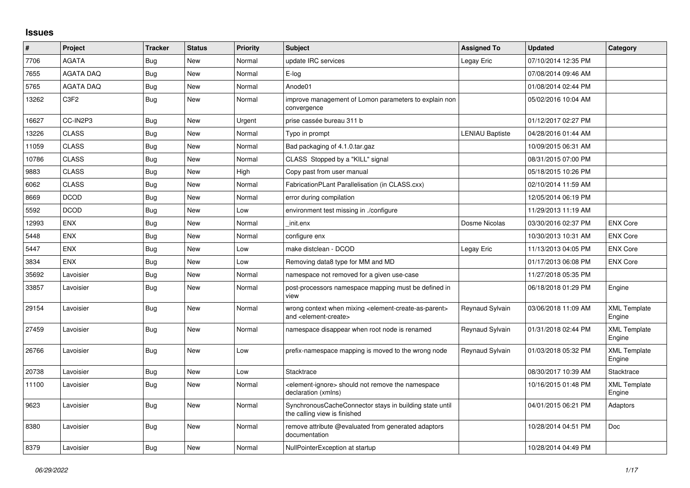## **Issues**

| ∦     | Project          | <b>Tracker</b> | <b>Status</b> | <b>Priority</b> | Subject                                                                                                                   | <b>Assigned To</b>     | <b>Updated</b>      | Category                      |
|-------|------------------|----------------|---------------|-----------------|---------------------------------------------------------------------------------------------------------------------------|------------------------|---------------------|-------------------------------|
| 7706  | <b>AGATA</b>     | Bug            | New           | Normal          | update IRC services                                                                                                       | Legay Eric             | 07/10/2014 12:35 PM |                               |
| 7655  | <b>AGATA DAQ</b> | Bug            | <b>New</b>    | Normal          | E-log                                                                                                                     |                        | 07/08/2014 09:46 AM |                               |
| 5765  | <b>AGATA DAQ</b> | <b>Bug</b>     | <b>New</b>    | Normal          | Anode01                                                                                                                   |                        | 01/08/2014 02:44 PM |                               |
| 13262 | C <sub>3F2</sub> | <b>Bug</b>     | New           | Normal          | improve management of Lomon parameters to explain non<br>convergence                                                      |                        | 05/02/2016 10:04 AM |                               |
| 16627 | CC-IN2P3         | <b>Bug</b>     | New           | Urgent          | prise cassée bureau 311 b                                                                                                 |                        | 01/12/2017 02:27 PM |                               |
| 13226 | <b>CLASS</b>     | <b>Bug</b>     | <b>New</b>    | Normal          | Typo in prompt                                                                                                            | <b>LENIAU Baptiste</b> | 04/28/2016 01:44 AM |                               |
| 11059 | <b>CLASS</b>     | <b>Bug</b>     | New           | Normal          | Bad packaging of 4.1.0.tar.gaz                                                                                            |                        | 10/09/2015 06:31 AM |                               |
| 10786 | <b>CLASS</b>     | <b>Bug</b>     | <b>New</b>    | Normal          | CLASS Stopped by a "KILL" signal                                                                                          |                        | 08/31/2015 07:00 PM |                               |
| 9883  | <b>CLASS</b>     | Bug            | <b>New</b>    | High            | Copy past from user manual                                                                                                |                        | 05/18/2015 10:26 PM |                               |
| 6062  | <b>CLASS</b>     | Bug            | <b>New</b>    | Normal          | FabricationPLant Parallelisation (in CLASS.cxx)                                                                           |                        | 02/10/2014 11:59 AM |                               |
| 8669  | <b>DCOD</b>      | <b>Bug</b>     | <b>New</b>    | Normal          | error during compilation                                                                                                  |                        | 12/05/2014 06:19 PM |                               |
| 5592  | <b>DCOD</b>      | Bug            | <b>New</b>    | Low             | environment test missing in ./configure                                                                                   |                        | 11/29/2013 11:19 AM |                               |
| 12993 | <b>ENX</b>       | <b>Bug</b>     | New           | Normal          | init.enx                                                                                                                  | Dosme Nicolas          | 03/30/2016 02:37 PM | <b>ENX Core</b>               |
| 5448  | <b>ENX</b>       | <b>Bug</b>     | <b>New</b>    | Normal          | configure enx                                                                                                             |                        | 10/30/2013 10:31 AM | <b>ENX Core</b>               |
| 5447  | <b>ENX</b>       | Bug            | <b>New</b>    | Low             | make distclean - DCOD                                                                                                     | Legay Eric             | 11/13/2013 04:05 PM | <b>ENX Core</b>               |
| 3834  | <b>ENX</b>       | Bug            | <b>New</b>    | Low             | Removing data8 type for MM and MD                                                                                         |                        | 01/17/2013 06:08 PM | <b>ENX Core</b>               |
| 35692 | Lavoisier        | Bug            | New           | Normal          | namespace not removed for a given use-case                                                                                |                        | 11/27/2018 05:35 PM |                               |
| 33857 | Lavoisier        | Bug            | New           | Normal          | post-processors namespace mapping must be defined in<br>view                                                              |                        | 06/18/2018 01:29 PM | Engine                        |
| 29154 | Lavoisier        | Bug            | New           | Normal          | wrong context when mixing <element-create-as-parent><br/>and <element-create></element-create></element-create-as-parent> | Reynaud Sylvain        | 03/06/2018 11:09 AM | <b>XML Template</b><br>Engine |
| 27459 | Lavoisier        | Bug            | New           | Normal          | namespace disappear when root node is renamed                                                                             | Reynaud Sylvain        | 01/31/2018 02:44 PM | <b>XML Template</b><br>Engine |
| 26766 | Lavoisier        | Bug            | <b>New</b>    | Low             | prefix-namespace mapping is moved to the wrong node                                                                       | Reynaud Sylvain        | 01/03/2018 05:32 PM | <b>XML Template</b><br>Engine |
| 20738 | Lavoisier        | Bug            | New           | Low             | Stacktrace                                                                                                                |                        | 08/30/2017 10:39 AM | Stacktrace                    |
| 11100 | Lavoisier        | Bug            | <b>New</b>    | Normal          | <element-ignore> should not remove the namespace<br/>declaration (xmlns)</element-ignore>                                 |                        | 10/16/2015 01:48 PM | <b>XML Template</b><br>Engine |
| 9623  | Lavoisier        | Bug            | New           | Normal          | SynchronousCacheConnector stays in building state until<br>the calling view is finished                                   |                        | 04/01/2015 06:21 PM | Adaptors                      |
| 8380  | Lavoisier        | <b>Bug</b>     | <b>New</b>    | Normal          | remove attribute @evaluated from generated adaptors<br>documentation                                                      |                        | 10/28/2014 04:51 PM | Doc                           |
| 8379  | Lavoisier        | Bug            | New           | Normal          | NullPointerException at startup                                                                                           |                        | 10/28/2014 04:49 PM |                               |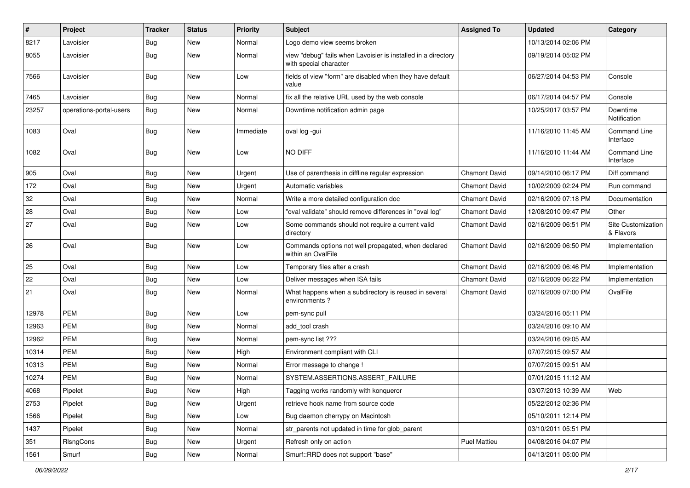| #     | Project                 | <b>Tracker</b> | <b>Status</b> | Priority  | Subject                                                                                 | <b>Assigned To</b>   | <b>Updated</b>      | Category                         |
|-------|-------------------------|----------------|---------------|-----------|-----------------------------------------------------------------------------------------|----------------------|---------------------|----------------------------------|
| 8217  | Lavoisier               | <b>Bug</b>     | New           | Normal    | Logo demo view seems broken                                                             |                      | 10/13/2014 02:06 PM |                                  |
| 8055  | Lavoisier               | Bug            | <b>New</b>    | Normal    | view "debug" fails when Lavoisier is installed in a directory<br>with special character |                      | 09/19/2014 05:02 PM |                                  |
| 7566  | Lavoisier               | Bug            | <b>New</b>    | Low       | fields of view "form" are disabled when they have default<br>value                      |                      | 06/27/2014 04:53 PM | Console                          |
| 7465  | Lavoisier               | Bug            | <b>New</b>    | Normal    | fix all the relative URL used by the web console                                        |                      | 06/17/2014 04:57 PM | Console                          |
| 23257 | operations-portal-users | <b>Bug</b>     | <b>New</b>    | Normal    | Downtime notification admin page                                                        |                      | 10/25/2017 03:57 PM | Downtime<br>Notification         |
| 1083  | Oval                    | <b>Bug</b>     | <b>New</b>    | Immediate | oval log -gui                                                                           |                      | 11/16/2010 11:45 AM | <b>Command Line</b><br>Interface |
| 1082  | Oval                    | <b>Bug</b>     | <b>New</b>    | Low       | <b>NO DIFF</b>                                                                          |                      | 11/16/2010 11:44 AM | Command Line<br>Interface        |
| 905   | Oval                    | Bug            | <b>New</b>    | Urgent    | Use of parenthesis in diffline regular expression                                       | <b>Chamont David</b> | 09/14/2010 06:17 PM | Diff command                     |
| 172   | Oval                    | <b>Bug</b>     | <b>New</b>    | Urgent    | Automatic variables                                                                     | <b>Chamont David</b> | 10/02/2009 02:24 PM | Run command                      |
| 32    | Oval                    | <b>Bug</b>     | <b>New</b>    | Normal    | Write a more detailed configuration doc                                                 | Chamont David        | 02/16/2009 07:18 PM | Documentation                    |
| 28    | Oval                    | <b>Bug</b>     | New           | Low       | "oval validate" should remove differences in "oval log"                                 | <b>Chamont David</b> | 12/08/2010 09:47 PM | Other                            |
| 27    | Oval                    | <b>Bug</b>     | <b>New</b>    | Low       | Some commands should not require a current valid<br>directory                           | <b>Chamont David</b> | 02/16/2009 06:51 PM | Site Customization<br>& Flavors  |
| 26    | Oval                    | Bug            | <b>New</b>    | Low       | Commands options not well propagated, when declared<br>within an OvalFile               | <b>Chamont David</b> | 02/16/2009 06:50 PM | Implementation                   |
| 25    | Oval                    | Bug            | <b>New</b>    | Low       | Temporary files after a crash                                                           | <b>Chamont David</b> | 02/16/2009 06:46 PM | Implementation                   |
| 22    | Oval                    | Bug            | <b>New</b>    | Low       | Deliver messages when ISA fails                                                         | <b>Chamont David</b> | 02/16/2009 06:22 PM | Implementation                   |
| 21    | Oval                    | <b>Bug</b>     | New           | Normal    | What happens when a subdirectory is reused in several<br>environments?                  | <b>Chamont David</b> | 02/16/2009 07:00 PM | OvalFile                         |
| 12978 | <b>PEM</b>              | <b>Bug</b>     | <b>New</b>    | Low       | pem-sync pull                                                                           |                      | 03/24/2016 05:11 PM |                                  |
| 12963 | <b>PEM</b>              | <b>Bug</b>     | <b>New</b>    | Normal    | add tool crash                                                                          |                      | 03/24/2016 09:10 AM |                                  |
| 12962 | PEM                     | <b>Bug</b>     | New           | Normal    | pem-sync list ???                                                                       |                      | 03/24/2016 09:05 AM |                                  |
| 10314 | PEM                     | <b>Bug</b>     | <b>New</b>    | High      | Environment compliant with CLI                                                          |                      | 07/07/2015 09:57 AM |                                  |
| 10313 | <b>PEM</b>              | <b>Bug</b>     | <b>New</b>    | Normal    | Error message to change !                                                               |                      | 07/07/2015 09:51 AM |                                  |
| 10274 | PEM                     | Bug            | New           | Normal    | SYSTEM.ASSERTIONS.ASSERT FAILURE                                                        |                      | 07/01/2015 11:12 AM |                                  |
| 4068  | Pipelet                 | Bug            | New           | High      | Tagging works randomly with konqueror                                                   |                      | 03/07/2013 10:39 AM | Web                              |
| 2753  | Pipelet                 | <b>Bug</b>     | New           | Urgent    | retrieve hook name from source code                                                     |                      | 05/22/2012 02:36 PM |                                  |
| 1566  | Pipelet                 | <b>Bug</b>     | New           | Low       | Bug daemon cherrypy on Macintosh                                                        |                      | 05/10/2011 12:14 PM |                                  |
| 1437  | Pipelet                 | Bug            | New           | Normal    | str_parents not updated in time for glob_parent                                         |                      | 03/10/2011 05:51 PM |                                  |
| 351   | RIsngCons               | <b>Bug</b>     | New           | Urgent    | Refresh only on action                                                                  | <b>Puel Mattieu</b>  | 04/08/2016 04:07 PM |                                  |
| 1561  | Smurf                   | Bug            | New           | Normal    | Smurf::RRD does not support "base"                                                      |                      | 04/13/2011 05:00 PM |                                  |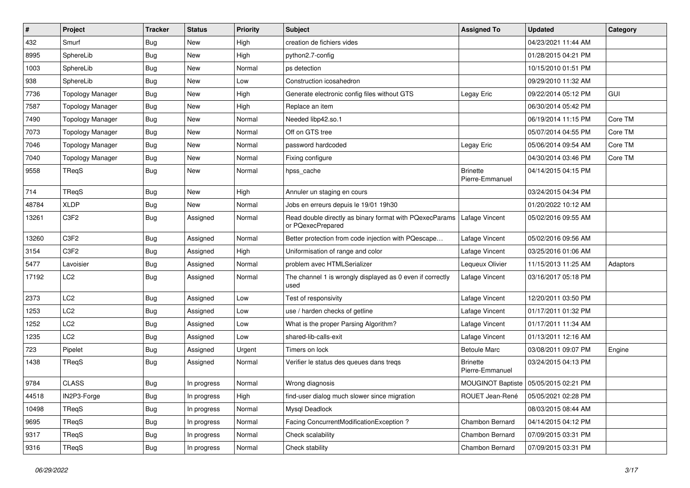| $\sharp$ | Project                 | <b>Tracker</b> | <b>Status</b> | <b>Priority</b> | Subject                                                                      | <b>Assigned To</b>                 | <b>Updated</b>                          | Category |
|----------|-------------------------|----------------|---------------|-----------------|------------------------------------------------------------------------------|------------------------------------|-----------------------------------------|----------|
| 432      | Smurf                   | <b>Bug</b>     | New           | High            | creation de fichiers vides                                                   |                                    | 04/23/2021 11:44 AM                     |          |
| 8995     | SphereLib               | <b>Bug</b>     | <b>New</b>    | High            | python2.7-config                                                             |                                    | 01/28/2015 04:21 PM                     |          |
| 1003     | SphereLib               | <b>Bug</b>     | New           | Normal          | ps detection                                                                 |                                    | 10/15/2010 01:51 PM                     |          |
| 938      | SphereLib               | <b>Bug</b>     | <b>New</b>    | Low             | Construction icosahedron                                                     |                                    | 09/29/2010 11:32 AM                     |          |
| 7736     | <b>Topology Manager</b> | <b>Bug</b>     | <b>New</b>    | High            | Generate electronic config files without GTS                                 | Legay Eric                         | 09/22/2014 05:12 PM                     | GUI      |
| 7587     | <b>Topology Manager</b> | <b>Bug</b>     | New           | High            | Replace an item                                                              |                                    | 06/30/2014 05:42 PM                     |          |
| 7490     | <b>Topology Manager</b> | <b>Bug</b>     | <b>New</b>    | Normal          | Needed libp42.so.1                                                           |                                    | 06/19/2014 11:15 PM                     | Core TM  |
| 7073     | <b>Topology Manager</b> | <b>Bug</b>     | New           | Normal          | Off on GTS tree                                                              |                                    | 05/07/2014 04:55 PM                     | Core TM  |
| 7046     | <b>Topology Manager</b> | <b>Bug</b>     | <b>New</b>    | Normal          | password hardcoded                                                           | Legay Eric                         | 05/06/2014 09:54 AM                     | Core TM  |
| 7040     | <b>Topology Manager</b> | <b>Bug</b>     | New           | Normal          | Fixing configure                                                             |                                    | 04/30/2014 03:46 PM                     | Core TM  |
| 9558     | TReqS                   | <b>Bug</b>     | New           | Normal          | hpss_cache                                                                   | <b>Brinette</b><br>Pierre-Emmanuel | 04/14/2015 04:15 PM                     |          |
| 714      | TReqS                   | <b>Bug</b>     | New           | High            | Annuler un staging en cours                                                  |                                    | 03/24/2015 04:34 PM                     |          |
| 48784    | <b>XLDP</b>             | <b>Bug</b>     | <b>New</b>    | Normal          | Jobs en erreurs depuis le 19/01 19h30                                        |                                    | 01/20/2022 10:12 AM                     |          |
| 13261    | C3F2                    | <b>Bug</b>     | Assigned      | Normal          | Read double directly as binary format with PQexecParams<br>or PQexecPrepared | Lafage Vincent                     | 05/02/2016 09:55 AM                     |          |
| 13260    | C3F2                    | <b>Bug</b>     | Assigned      | Normal          | Better protection from code injection with PQescape                          | Lafage Vincent                     | 05/02/2016 09:56 AM                     |          |
| 3154     | C3F2                    | Bug            | Assigned      | High            | Uniformisation of range and color                                            | Lafage Vincent                     | 03/25/2016 01:06 AM                     |          |
| 5477     | Lavoisier               | <b>Bug</b>     | Assigned      | Normal          | problem avec HTMLSerializer                                                  | Lequeux Olivier                    | 11/15/2013 11:25 AM                     | Adaptors |
| 17192    | LC <sub>2</sub>         | <b>Bug</b>     | Assigned      | Normal          | The channel 1 is wrongly displayed as 0 even if correctly<br>used            | Lafage Vincent                     | 03/16/2017 05:18 PM                     |          |
| 2373     | LC <sub>2</sub>         | <b>Bug</b>     | Assigned      | Low             | Test of responsivity                                                         | Lafage Vincent                     | 12/20/2011 03:50 PM                     |          |
| 1253     | LC <sub>2</sub>         | <b>Bug</b>     | Assigned      | Low             | use / harden checks of getline                                               | Lafage Vincent                     | 01/17/2011 01:32 PM                     |          |
| 1252     | LC <sub>2</sub>         | <b>Bug</b>     | Assigned      | Low             | What is the proper Parsing Algorithm?                                        | Lafage Vincent                     | 01/17/2011 11:34 AM                     |          |
| 1235     | LC <sub>2</sub>         | Bug            | Assigned      | Low             | shared-lib-calls-exit                                                        | Lafage Vincent                     | 01/13/2011 12:16 AM                     |          |
| 723      | Pipelet                 | <b>Bug</b>     | Assigned      | Urgent          | Timers on lock                                                               | <b>Betoule Marc</b>                | 03/08/2011 09:07 PM                     | Engine   |
| 1438     | TReqS                   | <b>Bug</b>     | Assigned      | Normal          | Verifier le status des queues dans treqs                                     | <b>Brinette</b><br>Pierre-Emmanuel | 03/24/2015 04:13 PM                     |          |
| 9784     | <b>CLASS</b>            | <b>Bug</b>     | In progress   | Normal          | Wrong diagnosis                                                              |                                    | MOUGINOT Baptiste   05/05/2015 02:21 PM |          |
| 44518    | IN2P3-Forge             | <b>Bug</b>     | In progress   | High            | find-user dialog much slower since migration                                 | ROUET Jean-René                    | 05/05/2021 02:28 PM                     |          |
| 10498    | TReqS                   | <b>Bug</b>     | In progress   | Normal          | Mysql Deadlock                                                               |                                    | 08/03/2015 08:44 AM                     |          |
| 9695     | TReqS                   | <b>Bug</b>     | In progress   | Normal          | Facing ConcurrentModificationException ?                                     | Chambon Bernard                    | 04/14/2015 04:12 PM                     |          |
| 9317     | TReqS                   | <b>Bug</b>     | In progress   | Normal          | Check scalability                                                            | Chambon Bernard                    | 07/09/2015 03:31 PM                     |          |
| 9316     | TReqS                   | <b>Bug</b>     | In progress   | Normal          | Check stability                                                              | Chambon Bernard                    | 07/09/2015 03:31 PM                     |          |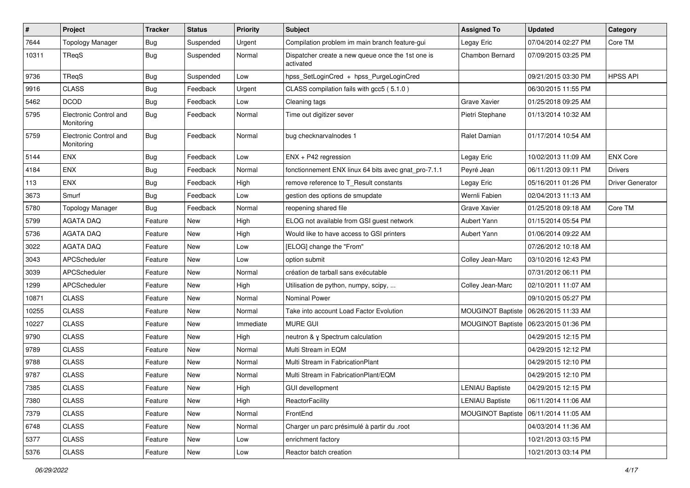| $\vert$ # | Project                              | <b>Tracker</b> | <b>Status</b> | <b>Priority</b> | <b>Subject</b>                                                 | <b>Assigned To</b>       | <b>Updated</b>      | Category                |
|-----------|--------------------------------------|----------------|---------------|-----------------|----------------------------------------------------------------|--------------------------|---------------------|-------------------------|
| 7644      | <b>Topology Manager</b>              | <b>Bug</b>     | Suspended     | Urgent          | Compilation problem im main branch feature-gui                 | Legay Eric               | 07/04/2014 02:27 PM | Core TM                 |
| 10311     | TReqS                                | <b>Bug</b>     | Suspended     | Normal          | Dispatcher create a new queue once the 1st one is<br>activated | Chambon Bernard          | 07/09/2015 03:25 PM |                         |
| 9736      | TReqS                                | <b>Bug</b>     | Suspended     | Low             | hpss_SetLoginCred + hpss_PurgeLoginCred                        |                          | 09/21/2015 03:30 PM | <b>HPSS API</b>         |
| 9916      | <b>CLASS</b>                         | Bug            | Feedback      | Urgent          | CLASS compilation fails with gcc5 (5.1.0)                      |                          | 06/30/2015 11:55 PM |                         |
| 5462      | <b>DCOD</b>                          | <b>Bug</b>     | Feedback      | Low             | Cleaning tags                                                  | Grave Xavier             | 01/25/2018 09:25 AM |                         |
| 5795      | Electronic Control and<br>Monitoring | <b>Bug</b>     | Feedback      | Normal          | Time out digitizer sever                                       | Pietri Stephane          | 01/13/2014 10:32 AM |                         |
| 5759      | Electronic Control and<br>Monitoring | Bug            | Feedback      | Normal          | bug checknarvalnodes 1                                         | Ralet Damian             | 01/17/2014 10:54 AM |                         |
| 5144      | <b>ENX</b>                           | <b>Bug</b>     | Feedback      | Low             | $ENX + P42$ regression                                         | Legay Eric               | 10/02/2013 11:09 AM | <b>ENX Core</b>         |
| 4184      | <b>ENX</b>                           | <b>Bug</b>     | Feedback      | Normal          | fonctionnement ENX linux 64 bits avec gnat_pro-7.1.1           | Peyré Jean               | 06/11/2013 09:11 PM | <b>Drivers</b>          |
| 113       | <b>ENX</b>                           | Bug            | Feedback      | High            | remove reference to T_Result constants                         | Legay Eric               | 05/16/2011 01:26 PM | <b>Driver Generator</b> |
| 3673      | Smurf                                | <b>Bug</b>     | Feedback      | Low             | gestion des options de smupdate                                | Wernli Fabien            | 02/04/2013 11:13 AM |                         |
| 5780      | <b>Topology Manager</b>              | <b>Bug</b>     | Feedback      | Normal          | reopening shared file                                          | Grave Xavier             | 01/25/2018 09:18 AM | Core TM                 |
| 5799      | <b>AGATA DAQ</b>                     | Feature        | New           | High            | ELOG not available from GSI guest network                      | Aubert Yann              | 01/15/2014 05:54 PM |                         |
| 5736      | <b>AGATA DAQ</b>                     | Feature        | New           | High            | Would like to have access to GSI printers                      | Aubert Yann              | 01/06/2014 09:22 AM |                         |
| 3022      | <b>AGATA DAQ</b>                     | Feature        | New           | Low             | [ELOG] change the "From"                                       |                          | 07/26/2012 10:18 AM |                         |
| 3043      | APCScheduler                         | Feature        | New           | Low             | option submit                                                  | Colley Jean-Marc         | 03/10/2016 12:43 PM |                         |
| 3039      | APCScheduler                         | Feature        | New           | Normal          | création de tarball sans exécutable                            |                          | 07/31/2012 06:11 PM |                         |
| 1299      | APCScheduler                         | Feature        | New           | High            | Utilisation de python, numpy, scipy,                           | Colley Jean-Marc         | 02/10/2011 11:07 AM |                         |
| 10871     | <b>CLASS</b>                         | Feature        | New           | Normal          | <b>Nominal Power</b>                                           |                          | 09/10/2015 05:27 PM |                         |
| 10255     | <b>CLASS</b>                         | Feature        | New           | Normal          | Take into account Load Factor Evolution                        | MOUGINOT Baptiste        | 06/26/2015 11:33 AM |                         |
| 10227     | <b>CLASS</b>                         | Feature        | New           | Immediate       | <b>MURE GUI</b>                                                | <b>MOUGINOT Baptiste</b> | 06/23/2015 01:36 PM |                         |
| 9790      | <b>CLASS</b>                         | Feature        | New           | High            | neutron & y Spectrum calculation                               |                          | 04/29/2015 12:15 PM |                         |
| 9789      | <b>CLASS</b>                         | Feature        | New           | Normal          | Multi Stream in EQM                                            |                          | 04/29/2015 12:12 PM |                         |
| 9788      | <b>CLASS</b>                         | Feature        | New           | Normal          | Multi Stream in FabricationPlant                               |                          | 04/29/2015 12:10 PM |                         |
| 9787      | <b>CLASS</b>                         | Feature        | New           | Normal          | Multi Stream in FabricationPlant/EQM                           |                          | 04/29/2015 12:10 PM |                         |
| 7385      | <b>CLASS</b>                         | Feature        | New           | High            | GUI devellopment                                               | <b>LENIAU Baptiste</b>   | 04/29/2015 12:15 PM |                         |
| 7380      | <b>CLASS</b>                         | Feature        | New           | High            | ReactorFacility                                                | <b>LENIAU Baptiste</b>   | 06/11/2014 11:06 AM |                         |
| 7379      | <b>CLASS</b>                         | Feature        | New           | Normal          | FrontEnd                                                       | MOUGINOT Baptiste        | 06/11/2014 11:05 AM |                         |
| 6748      | <b>CLASS</b>                         | Feature        | New           | Normal          | Charger un parc présimulé à partir du .root                    |                          | 04/03/2014 11:36 AM |                         |
| 5377      | <b>CLASS</b>                         | Feature        | New           | Low             | enrichment factory                                             |                          | 10/21/2013 03:15 PM |                         |
| 5376      | <b>CLASS</b>                         | Feature        | New           | Low             | Reactor batch creation                                         |                          | 10/21/2013 03:14 PM |                         |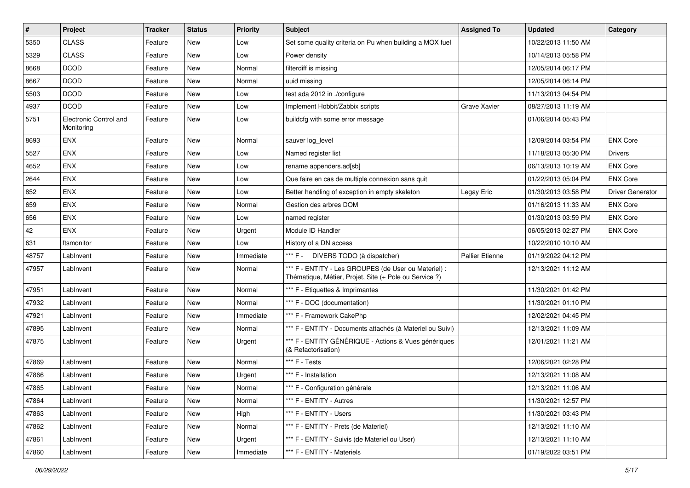| $\sharp$ | Project                              | <b>Tracker</b> | <b>Status</b> | <b>Priority</b> | <b>Subject</b>                                                                                                 | <b>Assigned To</b>     | <b>Updated</b>      | Category                |
|----------|--------------------------------------|----------------|---------------|-----------------|----------------------------------------------------------------------------------------------------------------|------------------------|---------------------|-------------------------|
| 5350     | <b>CLASS</b>                         | Feature        | New           | Low             | Set some quality criteria on Pu when building a MOX fuel                                                       |                        | 10/22/2013 11:50 AM |                         |
| 5329     | <b>CLASS</b>                         | Feature        | New           | Low             | Power density                                                                                                  |                        | 10/14/2013 05:58 PM |                         |
| 8668     | <b>DCOD</b>                          | Feature        | New           | Normal          | filterdiff is missing                                                                                          |                        | 12/05/2014 06:17 PM |                         |
| 8667     | <b>DCOD</b>                          | Feature        | New           | Normal          | uuid missing                                                                                                   |                        | 12/05/2014 06:14 PM |                         |
| 5503     | <b>DCOD</b>                          | Feature        | <b>New</b>    | Low             | test ada 2012 in ./configure                                                                                   |                        | 11/13/2013 04:54 PM |                         |
| 4937     | <b>DCOD</b>                          | Feature        | New           | Low             | Implement Hobbit/Zabbix scripts                                                                                | Grave Xavier           | 08/27/2013 11:19 AM |                         |
| 5751     | Electronic Control and<br>Monitoring | Feature        | New           | Low             | buildcfg with some error message                                                                               |                        | 01/06/2014 05:43 PM |                         |
| 8693     | <b>ENX</b>                           | Feature        | <b>New</b>    | Normal          | sauver log_level                                                                                               |                        | 12/09/2014 03:54 PM | <b>ENX Core</b>         |
| 5527     | <b>ENX</b>                           | Feature        | New           | Low             | Named register list                                                                                            |                        | 11/18/2013 05:30 PM | <b>Drivers</b>          |
| 4652     | ENX                                  | Feature        | New           | Low             | rename appenders.ad[sb]                                                                                        |                        | 06/13/2013 10:19 AM | <b>ENX Core</b>         |
| 2644     | ENX                                  | Feature        | New           | Low             | Que faire en cas de multiple connexion sans quit                                                               |                        | 01/22/2013 05:04 PM | <b>ENX Core</b>         |
| 852      | <b>ENX</b>                           | Feature        | New           | Low             | Better handling of exception in empty skeleton                                                                 | Legay Eric             | 01/30/2013 03:58 PM | <b>Driver Generator</b> |
| 659      | ENX                                  | Feature        | New           | Normal          | Gestion des arbres DOM                                                                                         |                        | 01/16/2013 11:33 AM | <b>ENX Core</b>         |
| 656      | <b>ENX</b>                           | Feature        | New           | Low             | named register                                                                                                 |                        | 01/30/2013 03:59 PM | <b>ENX Core</b>         |
| 42       | <b>ENX</b>                           | Feature        | New           | Urgent          | Module ID Handler                                                                                              |                        | 06/05/2013 02:27 PM | <b>ENX Core</b>         |
| 631      | ftsmonitor                           | Feature        | New           | Low             | History of a DN access                                                                                         |                        | 10/22/2010 10:10 AM |                         |
| 48757    | Lablnvent                            | Feature        | New           | Immediate       | *** F - DIVERS TODO (à dispatcher)                                                                             | <b>Pallier Etienne</b> | 01/19/2022 04:12 PM |                         |
| 47957    | LabInvent                            | Feature        | New           | Normal          | *** F - ENTITY - Les GROUPES (de User ou Materiel) :<br>Thématique, Métier, Projet, Site (+ Pole ou Service ?) |                        | 12/13/2021 11:12 AM |                         |
| 47951    | LabInvent                            | Feature        | New           | Normal          | *** F - Etiquettes & Imprimantes                                                                               |                        | 11/30/2021 01:42 PM |                         |
| 47932    | LabInvent                            | Feature        | New           | Normal          | *** F - DOC (documentation)                                                                                    |                        | 11/30/2021 01:10 PM |                         |
| 47921    | LabInvent                            | Feature        | New           | Immediate       | *** F - Framework CakePhp                                                                                      |                        | 12/02/2021 04:45 PM |                         |
| 47895    | LabInvent                            | Feature        | New           | Normal          | *** F - ENTITY - Documents attachés (à Materiel ou Suivi)                                                      |                        | 12/13/2021 11:09 AM |                         |
| 47875    | LabInvent                            | Feature        | New           | Urgent          | *** F - ENTITY GÉNÉRIQUE - Actions & Vues génériques<br>(& Refactorisation)                                    |                        | 12/01/2021 11:21 AM |                         |
| 47869    | LabInvent                            | Feature        | New           | Normal          | *** F - Tests                                                                                                  |                        | 12/06/2021 02:28 PM |                         |
| 47866    | LabInvent                            | Feature        | New           | Urgent          | *** F - Installation                                                                                           |                        | 12/13/2021 11:08 AM |                         |
| 47865    | LabInvent                            | Feature        | New           | Normal          | *** F - Configuration générale                                                                                 |                        | 12/13/2021 11:06 AM |                         |
| 47864    | LabInvent                            | Feature        | New           | Normal          | *** F - ENTITY - Autres                                                                                        |                        | 11/30/2021 12:57 PM |                         |
| 47863    | LabInvent                            | Feature        | New           | High            | *** F - ENTITY - Users                                                                                         |                        | 11/30/2021 03:43 PM |                         |
| 47862    | LabInvent                            | Feature        | New           | Normal          | *** F - ENTITY - Prets (de Materiel)                                                                           |                        | 12/13/2021 11:10 AM |                         |
| 47861    | LabInvent                            | Feature        | New           | Urgent          | *** F - ENTITY - Suivis (de Materiel ou User)                                                                  |                        | 12/13/2021 11:10 AM |                         |
| 47860    | LabInvent                            | Feature        | New           | Immediate       | *** F - ENTITY - Materiels                                                                                     |                        | 01/19/2022 03:51 PM |                         |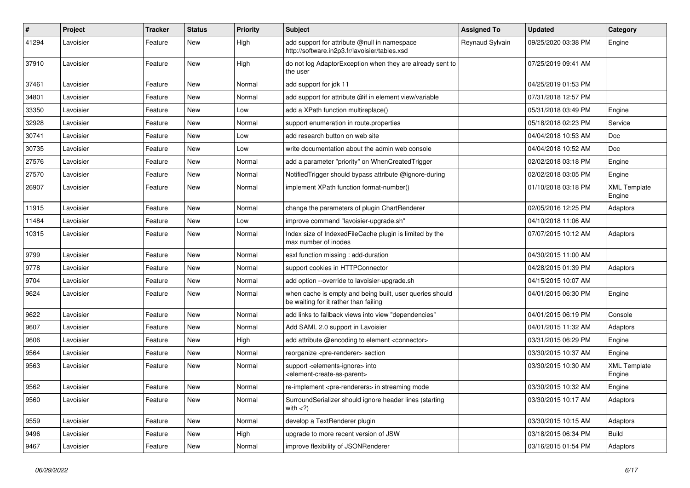| $\pmb{\#}$ | Project   | <b>Tracker</b> | <b>Status</b> | <b>Priority</b> | <b>Subject</b>                                                                                             | <b>Assigned To</b> | <b>Updated</b>      | Category                      |
|------------|-----------|----------------|---------------|-----------------|------------------------------------------------------------------------------------------------------------|--------------------|---------------------|-------------------------------|
| 41294      | Lavoisier | Feature        | New           | High            | add support for attribute @null in namespace<br>http://software.in2p3.fr/lavoisier/tables.xsd              | Reynaud Sylvain    | 09/25/2020 03:38 PM | Engine                        |
| 37910      | Lavoisier | Feature        | New           | High            | do not log AdaptorException when they are already sent to<br>the user                                      |                    | 07/25/2019 09:41 AM |                               |
| 37461      | Lavoisier | Feature        | New           | Normal          | add support for jdk 11                                                                                     |                    | 04/25/2019 01:53 PM |                               |
| 34801      | Lavoisier | Feature        | New           | Normal          | add support for attribute @if in element view/variable                                                     |                    | 07/31/2018 12:57 PM |                               |
| 33350      | Lavoisier | Feature        | New           | Low             | add a XPath function multireplace()                                                                        |                    | 05/31/2018 03:49 PM | Engine                        |
| 32928      | Lavoisier | Feature        | New           | Normal          | support enumeration in route.properties                                                                    |                    | 05/18/2018 02:23 PM | Service                       |
| 30741      | Lavoisier | Feature        | New           | Low             | add research button on web site                                                                            |                    | 04/04/2018 10:53 AM | <b>Doc</b>                    |
| 30735      | Lavoisier | Feature        | New           | Low             | write documentation about the admin web console                                                            |                    | 04/04/2018 10:52 AM | Doc                           |
| 27576      | Lavoisier | Feature        | New           | Normal          | add a parameter "priority" on WhenCreatedTrigger                                                           |                    | 02/02/2018 03:18 PM | Engine                        |
| 27570      | Lavoisier | Feature        | New           | Normal          | NotifiedTrigger should bypass attribute @ignore-during                                                     |                    | 02/02/2018 03:05 PM | Engine                        |
| 26907      | Lavoisier | Feature        | New           | Normal          | implement XPath function format-number()                                                                   |                    | 01/10/2018 03:18 PM | <b>XML Template</b><br>Engine |
| 11915      | Lavoisier | Feature        | New           | Normal          | change the parameters of plugin ChartRenderer                                                              |                    | 02/05/2016 12:25 PM | Adaptors                      |
| 11484      | Lavoisier | Feature        | New           | Low             | improve command "lavoisier-upgrade.sh"                                                                     |                    | 04/10/2018 11:06 AM |                               |
| 10315      | Lavoisier | Feature        | New           | Normal          | Index size of IndexedFileCache plugin is limited by the<br>max number of inodes                            |                    | 07/07/2015 10:12 AM | Adaptors                      |
| 9799       | Lavoisier | Feature        | New           | Normal          | esxl function missing : add-duration                                                                       |                    | 04/30/2015 11:00 AM |                               |
| 9778       | Lavoisier | Feature        | New           | Normal          | support cookies in HTTPConnector                                                                           |                    | 04/28/2015 01:39 PM | Adaptors                      |
| 9704       | Lavoisier | Feature        | New           | Normal          | add option --override to lavoisier-upgrade.sh                                                              |                    | 04/15/2015 10:07 AM |                               |
| 9624       | Lavoisier | Feature        | New           | Normal          | when cache is empty and being built, user queries should<br>be waiting for it rather than failing          |                    | 04/01/2015 06:30 PM | Engine                        |
| 9622       | Lavoisier | Feature        | New           | Normal          | add links to fallback views into view "dependencies"                                                       |                    | 04/01/2015 06:19 PM | Console                       |
| 9607       | Lavoisier | Feature        | New           | Normal          | Add SAML 2.0 support in Lavoisier                                                                          |                    | 04/01/2015 11:32 AM | Adaptors                      |
| 9606       | Lavoisier | Feature        | New           | High            | add attribute @encoding to element <connector></connector>                                                 |                    | 03/31/2015 06:29 PM | Engine                        |
| 9564       | Lavoisier | Feature        | New           | Normal          | reorganize <pre-renderer> section</pre-renderer>                                                           |                    | 03/30/2015 10:37 AM | Engine                        |
| 9563       | Lavoisier | Feature        | New           | Normal          | support <elements-ignore> into<br/><element-create-as-parent></element-create-as-parent></elements-ignore> |                    | 03/30/2015 10:30 AM | <b>XML Template</b><br>Engine |
| 9562       | Lavoisier | Feature        | New           | Normal          | re-implement <pre-renderers> in streaming mode</pre-renderers>                                             |                    | 03/30/2015 10:32 AM | Engine                        |
| 9560       | Lavoisier | Feature        | New           | Normal          | SurroundSerializer should ignore header lines (starting<br>with $<$ ?)                                     |                    | 03/30/2015 10:17 AM | Adaptors                      |
| 9559       | Lavoisier | Feature        | New           | Normal          | develop a TextRenderer plugin                                                                              |                    | 03/30/2015 10:15 AM | Adaptors                      |
| 9496       | Lavoisier | Feature        | New           | High            | upgrade to more recent version of JSW                                                                      |                    | 03/18/2015 06:34 PM | <b>Build</b>                  |
| 9467       | Lavoisier | Feature        | New           | Normal          | improve flexibility of JSONRenderer                                                                        |                    | 03/16/2015 01:54 PM | Adaptors                      |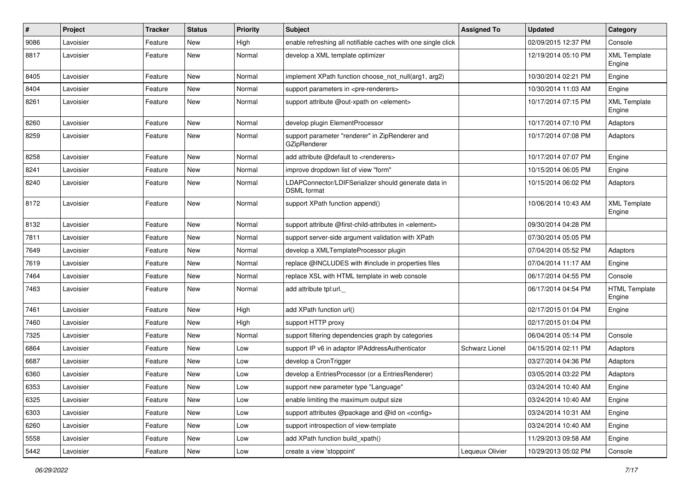| $\pmb{\#}$ | Project   | <b>Tracker</b> | <b>Status</b> | <b>Priority</b> | <b>Subject</b>                                                             | <b>Assigned To</b> | <b>Updated</b>      | Category                       |
|------------|-----------|----------------|---------------|-----------------|----------------------------------------------------------------------------|--------------------|---------------------|--------------------------------|
| 9086       | Lavoisier | Feature        | New           | High            | enable refreshing all notifiable caches with one single click              |                    | 02/09/2015 12:37 PM | Console                        |
| 8817       | Lavoisier | Feature        | New           | Normal          | develop a XML template optimizer                                           |                    | 12/19/2014 05:10 PM | <b>XML Template</b><br>Engine  |
| 8405       | Lavoisier | Feature        | New           | Normal          | implement XPath function choose not null(arg1, arg2)                       |                    | 10/30/2014 02:21 PM | Engine                         |
| 8404       | Lavoisier | Feature        | New           | Normal          | support parameters in <pre-renderers></pre-renderers>                      |                    | 10/30/2014 11:03 AM | Engine                         |
| 8261       | Lavoisier | Feature        | New           | Normal          | support attribute @out-xpath on <element></element>                        |                    | 10/17/2014 07:15 PM | <b>XML Template</b><br>Engine  |
| 8260       | Lavoisier | Feature        | New           | Normal          | develop plugin ElementProcessor                                            |                    | 10/17/2014 07:10 PM | Adaptors                       |
| 8259       | Lavoisier | Feature        | New           | Normal          | support parameter "renderer" in ZipRenderer and<br><b>GZipRenderer</b>     |                    | 10/17/2014 07:08 PM | Adaptors                       |
| 8258       | Lavoisier | Feature        | New           | Normal          | add attribute @default to <renderers></renderers>                          |                    | 10/17/2014 07:07 PM | Engine                         |
| 8241       | Lavoisier | Feature        | New           | Normal          | improve dropdown list of view "form"                                       |                    | 10/15/2014 06:05 PM | Engine                         |
| 8240       | Lavoisier | Feature        | New           | Normal          | LDAPConnector/LDIFSerializer should generate data in<br><b>DSML</b> format |                    | 10/15/2014 06:02 PM | Adaptors                       |
| 8172       | Lavoisier | Feature        | New           | Normal          | support XPath function append()                                            |                    | 10/06/2014 10:43 AM | <b>XML Template</b><br>Engine  |
| 8132       | Lavoisier | Feature        | New           | Normal          | support attribute @first-child-attributes in <element></element>           |                    | 09/30/2014 04:28 PM |                                |
| 7811       | Lavoisier | Feature        | New           | Normal          | support server-side argument validation with XPath                         |                    | 07/30/2014 05:05 PM |                                |
| 7649       | Lavoisier | Feature        | New           | Normal          | develop a XMLTemplateProcessor plugin                                      |                    | 07/04/2014 05:52 PM | Adaptors                       |
| 7619       | Lavoisier | Feature        | New           | Normal          | replace @INCLUDES with #include in properties files                        |                    | 07/04/2014 11:17 AM | Engine                         |
| 7464       | Lavoisier | Feature        | New           | Normal          | replace XSL with HTML template in web console                              |                    | 06/17/2014 04:55 PM | Console                        |
| 7463       | Lavoisier | Feature        | New           | Normal          | add attribute tpl:url.                                                     |                    | 06/17/2014 04:54 PM | <b>HTML Template</b><br>Engine |
| 7461       | Lavoisier | Feature        | New           | High            | add XPath function url()                                                   |                    | 02/17/2015 01:04 PM | Engine                         |
| 7460       | Lavoisier | Feature        | New           | High            | support HTTP proxy                                                         |                    | 02/17/2015 01:04 PM |                                |
| 7325       | Lavoisier | Feature        | New           | Normal          | support filtering dependencies graph by categories                         |                    | 06/04/2014 05:14 PM | Console                        |
| 6864       | Lavoisier | Feature        | New           | Low             | support IP v6 in adaptor IPAddressAuthenticator                            | Schwarz Lionel     | 04/15/2014 02:11 PM | Adaptors                       |
| 6687       | Lavoisier | Feature        | New           | Low             | develop a CronTrigger                                                      |                    | 03/27/2014 04:36 PM | Adaptors                       |
| 6360       | Lavoisier | Feature        | New           | Low             | develop a EntriesProcessor (or a EntriesRenderer)                          |                    | 03/05/2014 03:22 PM | Adaptors                       |
| 6353       | Lavoisier | Feature        | New           | Low             | support new parameter type "Language"                                      |                    | 03/24/2014 10:40 AM | Engine                         |
| 6325       | Lavoisier | Feature        | New           | Low             | enable limiting the maximum output size                                    |                    | 03/24/2014 10:40 AM | Engine                         |
| 6303       | Lavoisier | Feature        | New           | Low             | support attributes @package and @id on <config></config>                   |                    | 03/24/2014 10:31 AM | Engine                         |
| 6260       | Lavoisier | Feature        | New           | Low             | support introspection of view-template                                     |                    | 03/24/2014 10:40 AM | Engine                         |
| 5558       | Lavoisier | Feature        | New           | Low             | add XPath function build_xpath()                                           |                    | 11/29/2013 09:58 AM | Engine                         |
| 5442       | Lavoisier | Feature        | New           | Low             | create a view 'stoppoint'                                                  | Lequeux Olivier    | 10/29/2013 05:02 PM | Console                        |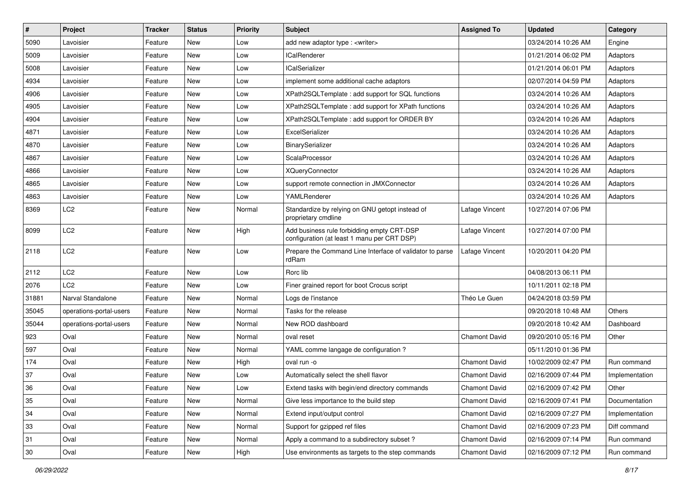| $\sharp$ | Project                 | <b>Tracker</b> | <b>Status</b> | <b>Priority</b> | <b>Subject</b>                                                                            | <b>Assigned To</b>   | <b>Updated</b>      | Category       |
|----------|-------------------------|----------------|---------------|-----------------|-------------------------------------------------------------------------------------------|----------------------|---------------------|----------------|
| 5090     | Lavoisier               | Feature        | New           | Low             | add new adaptor type : <writer></writer>                                                  |                      | 03/24/2014 10:26 AM | Engine         |
| 5009     | Lavoisier               | Feature        | New           | Low             | <b>ICalRenderer</b>                                                                       |                      | 01/21/2014 06:02 PM | Adaptors       |
| 5008     | Lavoisier               | Feature        | New           | Low             | ICalSerializer                                                                            |                      | 01/21/2014 06:01 PM | Adaptors       |
| 4934     | Lavoisier               | Feature        | New           | Low             | implement some additional cache adaptors                                                  |                      | 02/07/2014 04:59 PM | Adaptors       |
| 4906     | Lavoisier               | Feature        | New           | Low             | XPath2SQLTemplate : add support for SQL functions                                         |                      | 03/24/2014 10:26 AM | Adaptors       |
| 4905     | Lavoisier               | Feature        | New           | Low             | XPath2SQLTemplate : add support for XPath functions                                       |                      | 03/24/2014 10:26 AM | Adaptors       |
| 4904     | Lavoisier               | Feature        | New           | Low             | XPath2SQLTemplate : add support for ORDER BY                                              |                      | 03/24/2014 10:26 AM | Adaptors       |
| 4871     | Lavoisier               | Feature        | New           | Low             | ExcelSerializer                                                                           |                      | 03/24/2014 10:26 AM | Adaptors       |
| 4870     | Lavoisier               | Feature        | New           | Low             | BinarySerializer                                                                          |                      | 03/24/2014 10:26 AM | Adaptors       |
| 4867     | Lavoisier               | Feature        | New           | Low             | ScalaProcessor                                                                            |                      | 03/24/2014 10:26 AM | Adaptors       |
| 4866     | Lavoisier               | Feature        | New           | Low             | <b>XQueryConnector</b>                                                                    |                      | 03/24/2014 10:26 AM | Adaptors       |
| 4865     | Lavoisier               | Feature        | New           | Low             | support remote connection in JMXConnector                                                 |                      | 03/24/2014 10:26 AM | Adaptors       |
| 4863     | Lavoisier               | Feature        | New           | Low             | YAMLRenderer                                                                              |                      | 03/24/2014 10:26 AM | Adaptors       |
| 8369     | LC <sub>2</sub>         | Feature        | New           | Normal          | Standardize by relying on GNU getopt instead of<br>proprietary cmdline                    | Lafage Vincent       | 10/27/2014 07:06 PM |                |
| 8099     | LC <sub>2</sub>         | Feature        | New           | High            | Add business rule forbidding empty CRT-DSP<br>configuration (at least 1 manu per CRT DSP) | Lafage Vincent       | 10/27/2014 07:00 PM |                |
| 2118     | LC <sub>2</sub>         | Feature        | New           | Low             | Prepare the Command Line Interface of validator to parse<br>rdRam                         | Lafage Vincent       | 10/20/2011 04:20 PM |                |
| 2112     | LC <sub>2</sub>         | Feature        | New           | Low             | Rorc lib                                                                                  |                      | 04/08/2013 06:11 PM |                |
| 2076     | LC <sub>2</sub>         | Feature        | New           | Low             | Finer grained report for boot Crocus script                                               |                      | 10/11/2011 02:18 PM |                |
| 31881    | Narval Standalone       | Feature        | New           | Normal          | Logs de l'instance                                                                        | Théo Le Guen         | 04/24/2018 03:59 PM |                |
| 35045    | operations-portal-users | Feature        | New           | Normal          | Tasks for the release                                                                     |                      | 09/20/2018 10:48 AM | Others         |
| 35044    | operations-portal-users | Feature        | New           | Normal          | New ROD dashboard                                                                         |                      | 09/20/2018 10:42 AM | Dashboard      |
| 923      | Oval                    | Feature        | New           | Normal          | oval reset                                                                                | <b>Chamont David</b> | 09/20/2010 05:16 PM | Other          |
| 597      | Oval                    | Feature        | New           | Normal          | YAML comme langage de configuration?                                                      |                      | 05/11/2010 01:36 PM |                |
| 174      | Oval                    | Feature        | New           | High            | oval run -o                                                                               | <b>Chamont David</b> | 10/02/2009 02:47 PM | Run command    |
| 37       | Oval                    | Feature        | New           | Low             | Automatically select the shell flavor                                                     | <b>Chamont David</b> | 02/16/2009 07:44 PM | Implementation |
| 36       | Oval                    | Feature        | New           | Low             | Extend tasks with begin/end directory commands                                            | <b>Chamont David</b> | 02/16/2009 07:42 PM | Other          |
| 35       | Oval                    | Feature        | New           | Normal          | Give less importance to the build step                                                    | Chamont David        | 02/16/2009 07:41 PM | Documentation  |
| 34       | Oval                    | Feature        | New           | Normal          | Extend input/output control                                                               | Chamont David        | 02/16/2009 07:27 PM | Implementation |
| 33       | Oval                    | Feature        | New           | Normal          | Support for gzipped ref files                                                             | <b>Chamont David</b> | 02/16/2009 07:23 PM | Diff command   |
| 31       | Oval                    | Feature        | New           | Normal          | Apply a command to a subdirectory subset?                                                 | Chamont David        | 02/16/2009 07:14 PM | Run command    |
| 30       | Oval                    | Feature        | New           | High            | Use environments as targets to the step commands                                          | Chamont David        | 02/16/2009 07:12 PM | Run command    |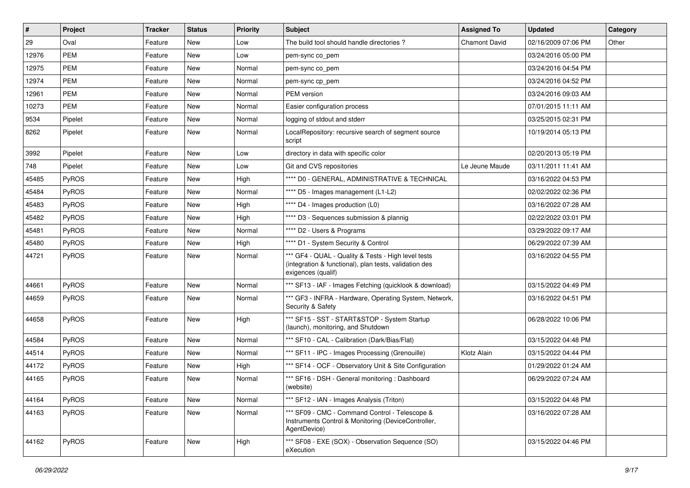| #     | Project      | <b>Tracker</b> | <b>Status</b> | <b>Priority</b> | <b>Subject</b>                                                                                                                      | <b>Assigned To</b>   | <b>Updated</b>      | Category |
|-------|--------------|----------------|---------------|-----------------|-------------------------------------------------------------------------------------------------------------------------------------|----------------------|---------------------|----------|
| 29    | Oval         | Feature        | New           | Low             | The build tool should handle directories?                                                                                           | <b>Chamont David</b> | 02/16/2009 07:06 PM | Other    |
| 12976 | <b>PEM</b>   | Feature        | <b>New</b>    | Low             | pem-sync co_pem                                                                                                                     |                      | 03/24/2016 05:00 PM |          |
| 12975 | <b>PEM</b>   | Feature        | New           | Normal          | pem-sync co_pem                                                                                                                     |                      | 03/24/2016 04:54 PM |          |
| 12974 | <b>PEM</b>   | Feature        | New           | Normal          | pem-sync cp pem                                                                                                                     |                      | 03/24/2016 04:52 PM |          |
| 12961 | <b>PEM</b>   | Feature        | New           | Normal          | <b>PEM</b> version                                                                                                                  |                      | 03/24/2016 09:03 AM |          |
| 10273 | PEM          | Feature        | New           | Normal          | Easier configuration process                                                                                                        |                      | 07/01/2015 11:11 AM |          |
| 9534  | Pipelet      | Feature        | <b>New</b>    | Normal          | logging of stdout and stderr                                                                                                        |                      | 03/25/2015 02:31 PM |          |
| 8262  | Pipelet      | Feature        | New           | Normal          | LocalRepository: recursive search of segment source<br>script                                                                       |                      | 10/19/2014 05:13 PM |          |
| 3992  | Pipelet      | Feature        | New           | Low             | directory in data with specific color                                                                                               |                      | 02/20/2013 05:19 PM |          |
| 748   | Pipelet      | Feature        | <b>New</b>    | Low             | Git and CVS repositories                                                                                                            | Le Jeune Maude       | 03/11/2011 11:41 AM |          |
| 45485 | PyROS        | Feature        | New           | High            | **** D0 - GENERAL, ADMINISTRATIVE & TECHNICAL                                                                                       |                      | 03/16/2022 04:53 PM |          |
| 45484 | PyROS        | Feature        | New           | Normal          | **** D5 - Images management (L1-L2)                                                                                                 |                      | 02/02/2022 02:36 PM |          |
| 45483 | PyROS        | Feature        | New           | High            | **** D4 - Images production (L0)                                                                                                    |                      | 03/16/2022 07:28 AM |          |
| 45482 | PyROS        | Feature        | New           | High            | **** D3 - Sequences submission & plannig                                                                                            |                      | 02/22/2022 03:01 PM |          |
| 45481 | PyROS        | Feature        | New           | Normal          | **** D2 - Users & Programs                                                                                                          |                      | 03/29/2022 09:17 AM |          |
| 45480 | PyROS        | Feature        | New           | High            | **** D1 - System Security & Control                                                                                                 |                      | 06/29/2022 07:39 AM |          |
| 44721 | <b>PyROS</b> | Feature        | New           | Normal          | *** GF4 - QUAL - Quality & Tests - High level tests<br>(integration & functional), plan tests, validation des<br>exigences (qualif) |                      | 03/16/2022 04:55 PM |          |
| 44661 | PyROS        | Feature        | New           | Normal          | *** SF13 - IAF - Images Fetching (quicklook & download)                                                                             |                      | 03/15/2022 04:49 PM |          |
| 44659 | PyROS        | Feature        | New           | Normal          | *** GF3 - INFRA - Hardware, Operating System, Network,<br>Security & Safety                                                         |                      | 03/16/2022 04:51 PM |          |
| 44658 | PyROS        | Feature        | New           | High            | *** SF15 - SST - START&STOP - System Startup<br>(launch), monitoring, and Shutdown                                                  |                      | 06/28/2022 10:06 PM |          |
| 44584 | PyROS        | Feature        | <b>New</b>    | Normal          | *** SF10 - CAL - Calibration (Dark/Bias/Flat)                                                                                       |                      | 03/15/2022 04:48 PM |          |
| 44514 | <b>PyROS</b> | Feature        | New           | Normal          | *** SF11 - IPC - Images Processing (Grenouille)                                                                                     | Klotz Alain          | 03/15/2022 04:44 PM |          |
| 44172 | PyROS        | Feature        | New           | High            | *** SF14 - OCF - Observatory Unit & Site Configuration                                                                              |                      | 01/29/2022 01:24 AM |          |
| 44165 | PyROS        | Feature        | New           | Normal          | *** SF16 - DSH - General monitoring: Dashboard<br>(website)                                                                         |                      | 06/29/2022 07:24 AM |          |
| 44164 | PyROS        | Feature        | New           | Normal          | *** SF12 - IAN - Images Analysis (Triton)                                                                                           |                      | 03/15/2022 04:48 PM |          |
| 44163 | PyROS        | Feature        | New           | Normal          | *** SF09 - CMC - Command Control - Telescope &<br>Instruments Control & Monitoring (DeviceController,<br>AgentDevice)               |                      | 03/16/2022 07:28 AM |          |
| 44162 | PyROS        | Feature        | New           | High            | *** SF08 - EXE (SOX) - Observation Sequence (SO)<br>eXecution                                                                       |                      | 03/15/2022 04:46 PM |          |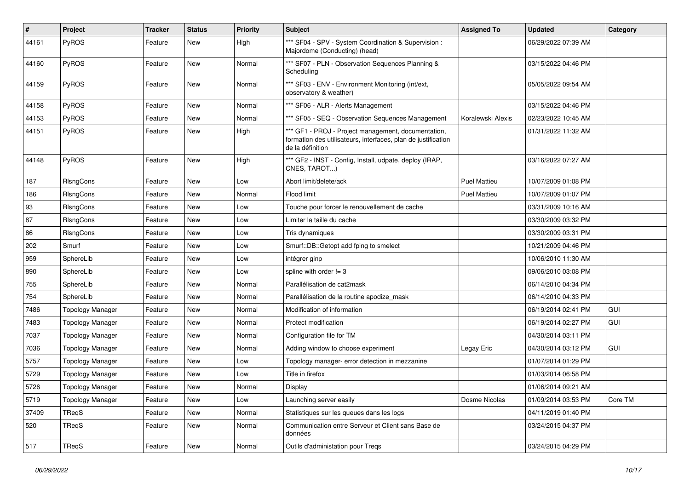| #     | Project                 | <b>Tracker</b> | <b>Status</b> | <b>Priority</b> | Subject                                                                                                                                  | <b>Assigned To</b>  | <b>Updated</b>      | Category |
|-------|-------------------------|----------------|---------------|-----------------|------------------------------------------------------------------------------------------------------------------------------------------|---------------------|---------------------|----------|
| 44161 | PyROS                   | Feature        | New           | High            | *** SF04 - SPV - System Coordination & Supervision :<br>Majordome (Conducting) (head)                                                    |                     | 06/29/2022 07:39 AM |          |
| 44160 | PyROS                   | Feature        | New           | Normal          | *** SF07 - PLN - Observation Sequences Planning &<br>Scheduling                                                                          |                     | 03/15/2022 04:46 PM |          |
| 44159 | PyROS                   | Feature        | <b>New</b>    | Normal          | *** SF03 - ENV - Environment Monitoring (int/ext,<br>observatory & weather)                                                              |                     | 05/05/2022 09:54 AM |          |
| 44158 | PyROS                   | Feature        | New           | Normal          | *** SF06 - ALR - Alerts Management                                                                                                       |                     | 03/15/2022 04:46 PM |          |
| 44153 | PyROS                   | Feature        | New           | Normal          | *** SF05 - SEQ - Observation Sequences Management                                                                                        | Koralewski Alexis   | 02/23/2022 10:45 AM |          |
| 44151 | PyROS                   | Feature        | New           | High            | *** GF1 - PROJ - Project management, documentation,<br>formation des utilisateurs, interfaces, plan de justification<br>de la définition |                     | 01/31/2022 11:32 AM |          |
| 44148 | PyROS                   | Feature        | New           | High            | *** GF2 - INST - Config, Install, udpate, deploy (IRAP,<br>CNES, TAROT)                                                                  |                     | 03/16/2022 07:27 AM |          |
| 187   | RIsngCons               | Feature        | New           | Low             | Abort limit/delete/ack                                                                                                                   | <b>Puel Mattieu</b> | 10/07/2009 01:08 PM |          |
| 186   | RIsngCons               | Feature        | New           | Normal          | Flood limit                                                                                                                              | <b>Puel Mattieu</b> | 10/07/2009 01:07 PM |          |
| 93    | RIsngCons               | Feature        | <b>New</b>    | Low             | Touche pour forcer le renouvellement de cache                                                                                            |                     | 03/31/2009 10:16 AM |          |
| 87    | RIsngCons               | Feature        | New           | Low             | Limiter la taille du cache                                                                                                               |                     | 03/30/2009 03:32 PM |          |
| 86    | RIsngCons               | Feature        | New           | Low             | Tris dynamiques                                                                                                                          |                     | 03/30/2009 03:31 PM |          |
| 202   | Smurf                   | Feature        | New           | Low             | Smurf::DB::Getopt add fping to smelect                                                                                                   |                     | 10/21/2009 04:46 PM |          |
| 959   | SphereLib               | Feature        | New           | Low             | intégrer ginp                                                                                                                            |                     | 10/06/2010 11:30 AM |          |
| 890   | SphereLib               | Feature        | <b>New</b>    | Low             | spline with order $!= 3$                                                                                                                 |                     | 09/06/2010 03:08 PM |          |
| 755   | SphereLib               | Feature        | New           | Normal          | Parallélisation de cat2mask                                                                                                              |                     | 06/14/2010 04:34 PM |          |
| 754   | SphereLib               | Feature        | New           | Normal          | Parallélisation de la routine apodize_mask                                                                                               |                     | 06/14/2010 04:33 PM |          |
| 7486  | <b>Topology Manager</b> | Feature        | New           | Normal          | Modification of information                                                                                                              |                     | 06/19/2014 02:41 PM | GUI      |
| 7483  | <b>Topology Manager</b> | Feature        | New           | Normal          | Protect modification                                                                                                                     |                     | 06/19/2014 02:27 PM | GUI      |
| 7037  | <b>Topology Manager</b> | Feature        | New           | Normal          | Configuration file for TM                                                                                                                |                     | 04/30/2014 03:11 PM |          |
| 7036  | <b>Topology Manager</b> | Feature        | New           | Normal          | Adding window to choose experiment                                                                                                       | Legay Eric          | 04/30/2014 03:12 PM | GUI      |
| 5757  | <b>Topology Manager</b> | Feature        | New           | Low             | Topology manager- error detection in mezzanine                                                                                           |                     | 01/07/2014 01:29 PM |          |
| 5729  | <b>Topology Manager</b> | Feature        | New           | Low             | Title in firefox                                                                                                                         |                     | 01/03/2014 06:58 PM |          |
| 5726  | <b>Topology Manager</b> | Feature        | <b>New</b>    | Normal          | Display                                                                                                                                  |                     | 01/06/2014 09:21 AM |          |
| 5719  | <b>Topology Manager</b> | Feature        | <b>New</b>    | Low             | Launching server easily                                                                                                                  | Dosme Nicolas       | 01/09/2014 03:53 PM | Core TM  |
| 37409 | TReqS                   | Feature        | New           | Normal          | Statistiques sur les queues dans les logs                                                                                                |                     | 04/11/2019 01:40 PM |          |
| 520   | TReqS                   | Feature        | New           | Normal          | Communication entre Serveur et Client sans Base de<br>données                                                                            |                     | 03/24/2015 04:37 PM |          |
| 517   | TReqS                   | Feature        | New           | Normal          | Outils d'administation pour Tregs                                                                                                        |                     | 03/24/2015 04:29 PM |          |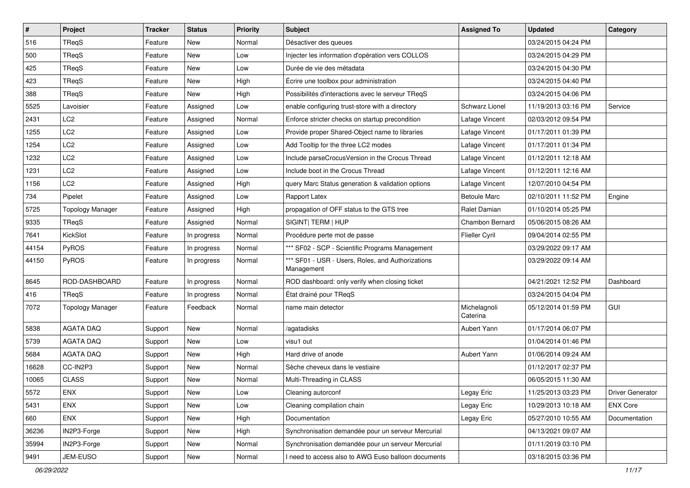| $\vert$ # | Project                 | <b>Tracker</b> | <b>Status</b> | <b>Priority</b> | <b>Subject</b>                                                  | <b>Assigned To</b>       | <b>Updated</b>      | Category                |
|-----------|-------------------------|----------------|---------------|-----------------|-----------------------------------------------------------------|--------------------------|---------------------|-------------------------|
| 516       | TReqS                   | Feature        | New           | Normal          | Désactiver des queues                                           |                          | 03/24/2015 04:24 PM |                         |
| 500       | TReqS                   | Feature        | <b>New</b>    | Low             | Injecter les information d'opération vers COLLOS                |                          | 03/24/2015 04:29 PM |                         |
| 425       | TReqS                   | Feature        | New           | Low             | Durée de vie des métadata                                       |                          | 03/24/2015 04:30 PM |                         |
| 423       | TReqS                   | Feature        | New           | High            | Écrire une toolbox pour administration                          |                          | 03/24/2015 04:40 PM |                         |
| 388       | TReqS                   | Feature        | <b>New</b>    | High            | Possibilités d'interactions avec le serveur TReqS               |                          | 03/24/2015 04:06 PM |                         |
| 5525      | Lavoisier               | Feature        | Assigned      | Low             | enable configuring trust-store with a directory                 | Schwarz Lionel           | 11/19/2013 03:16 PM | Service                 |
| 2431      | LC <sub>2</sub>         | Feature        | Assigned      | Normal          | Enforce stricter checks on startup precondition                 | Lafage Vincent           | 02/03/2012 09:54 PM |                         |
| 1255      | LC2                     | Feature        | Assigned      | Low             | Provide proper Shared-Object name to libraries                  | Lafage Vincent           | 01/17/2011 01:39 PM |                         |
| 1254      | LC <sub>2</sub>         | Feature        | Assigned      | Low             | Add Tooltip for the three LC2 modes                             | Lafage Vincent           | 01/17/2011 01:34 PM |                         |
| 1232      | LC <sub>2</sub>         | Feature        | Assigned      | Low             | Include parseCrocusVersion in the Crocus Thread                 | Lafage Vincent           | 01/12/2011 12:18 AM |                         |
| 1231      | LC <sub>2</sub>         | Feature        | Assigned      | Low             | Include boot in the Crocus Thread                               | Lafage Vincent           | 01/12/2011 12:16 AM |                         |
| 1156      | LC <sub>2</sub>         | Feature        | Assigned      | High            | query Marc Status generation & validation options               | Lafage Vincent           | 12/07/2010 04:54 PM |                         |
| 734       | Pipelet                 | Feature        | Assigned      | Low             | Rapport Latex                                                   | <b>Betoule Marc</b>      | 02/10/2011 11:52 PM | Engine                  |
| 5725      | <b>Topology Manager</b> | Feature        | Assigned      | High            | propagation of OFF status to the GTS tree                       | Ralet Damian             | 01/10/2014 05:25 PM |                         |
| 9335      | TReqS                   | Feature        | Assigned      | Normal          | SIGINT  TERM   HUP                                              | Chambon Bernard          | 05/06/2015 08:26 AM |                         |
| 7641      | KickSlot                | Feature        | In progress   | Normal          | Procédure perte mot de passe                                    | <b>Flieller Cyril</b>    | 09/04/2014 02:55 PM |                         |
| 44154     | PyROS                   | Feature        | In progress   | Normal          | *** SF02 - SCP - Scientific Programs Management                 |                          | 03/29/2022 09:17 AM |                         |
| 44150     | PyROS                   | Feature        | In progress   | Normal          | *** SF01 - USR - Users, Roles, and Authorizations<br>Management |                          | 03/29/2022 09:14 AM |                         |
| 8645      | ROD-DASHBOARD           | Feature        | In progress   | Normal          | ROD dashboard: only verify when closing ticket                  |                          | 04/21/2021 12:52 PM | Dashboard               |
| 416       | TRegS                   | Feature        | In progress   | Normal          | État drainé pour TReqS                                          |                          | 03/24/2015 04:04 PM |                         |
| 7072      | <b>Topology Manager</b> | Feature        | Feedback      | Normal          | name main detector                                              | Michelagnoli<br>Caterina | 05/12/2014 01:59 PM | GUI                     |
| 5838      | <b>AGATA DAQ</b>        | Support        | New           | Normal          | /agatadisks                                                     | Aubert Yann              | 01/17/2014 06:07 PM |                         |
| 5739      | <b>AGATA DAQ</b>        | Support        | New           | Low             | visu1 out                                                       |                          | 01/04/2014 01:46 PM |                         |
| 5684      | <b>AGATA DAQ</b>        | Support        | New           | High            | Hard drive of anode                                             | Aubert Yann              | 01/06/2014 09:24 AM |                         |
| 16628     | CC-IN2P3                | Support        | New           | Normal          | Sèche cheveux dans le vestiaire                                 |                          | 01/12/2017 02:37 PM |                         |
| 10065     | <b>CLASS</b>            | Support        | New           | Normal          | Multi-Threading in CLASS                                        |                          | 06/05/2015 11:30 AM |                         |
| 5572      | <b>ENX</b>              | Support        | New           | Low             | Cleaning autorconf                                              | Legay Eric               | 11/25/2013 03:23 PM | <b>Driver Generator</b> |
| 5431      | <b>ENX</b>              | Support        | New           | Low             | Cleaning compilation chain                                      | Legay Eric               | 10/29/2013 10:18 AM | <b>ENX Core</b>         |
| 660       | <b>ENX</b>              | Support        | New           | High            | Documentation                                                   | Legay Eric               | 05/27/2010 10:55 AM | Documentation           |
| 36236     | IN2P3-Forge             | Support        | New           | High            | Synchronisation demandée pour un serveur Mercurial              |                          | 04/13/2021 09:07 AM |                         |
| 35994     | IN2P3-Forge             | Support        | New           | Normal          | Synchronisation demandée pour un serveur Mercurial              |                          | 01/11/2019 03:10 PM |                         |
| 9491      | JEM-EUSO                | Support        | New           | Normal          | I need to access also to AWG Euso balloon documents             |                          | 03/18/2015 03:36 PM |                         |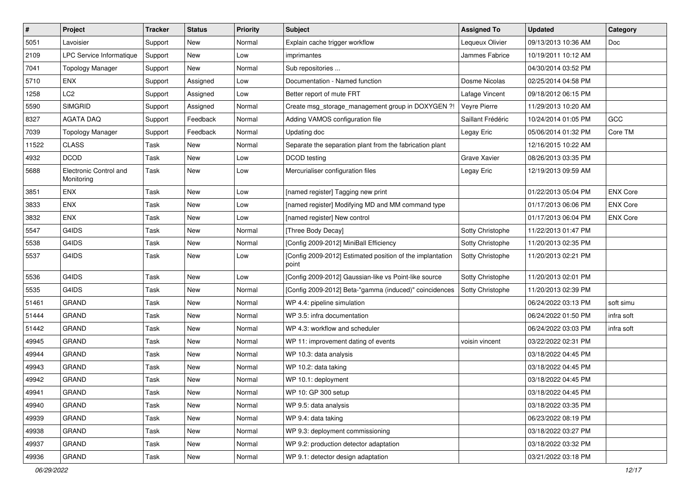| #     | Project                              | <b>Tracker</b> | <b>Status</b> | <b>Priority</b> | <b>Subject</b>                                                     | <b>Assigned To</b>  | <b>Updated</b>      | Category        |
|-------|--------------------------------------|----------------|---------------|-----------------|--------------------------------------------------------------------|---------------------|---------------------|-----------------|
| 5051  | Lavoisier                            | Support        | New           | Normal          | Explain cache trigger workflow                                     | Lequeux Olivier     | 09/13/2013 10:36 AM | Doc             |
| 2109  | LPC Service Informatique             | Support        | New           | Low             | imprimantes                                                        | Jammes Fabrice      | 10/19/2011 10:12 AM |                 |
| 7041  | <b>Topology Manager</b>              | Support        | New           | Normal          | Sub repositories                                                   |                     | 04/30/2014 03:52 PM |                 |
| 5710  | <b>ENX</b>                           | Support        | Assigned      | Low             | Documentation - Named function                                     | Dosme Nicolas       | 02/25/2014 04:58 PM |                 |
| 1258  | LC2                                  | Support        | Assigned      | Low             | Better report of mute FRT                                          | Lafage Vincent      | 09/18/2012 06:15 PM |                 |
| 5590  | <b>SIMGRID</b>                       | Support        | Assigned      | Normal          | Create msg_storage_management group in DOXYGEN ?!                  | Veyre Pierre        | 11/29/2013 10:20 AM |                 |
| 8327  | <b>AGATA DAQ</b>                     | Support        | Feedback      | Normal          | Adding VAMOS configuration file                                    | Saillant Frédéric   | 10/24/2014 01:05 PM | GCC             |
| 7039  | Topology Manager                     | Support        | Feedback      | Normal          | Updating doc                                                       | Legay Eric          | 05/06/2014 01:32 PM | Core TM         |
| 11522 | <b>CLASS</b>                         | Task           | New           | Normal          | Separate the separation plant from the fabrication plant           |                     | 12/16/2015 10:22 AM |                 |
| 4932  | DCOD                                 | Task           | New           | Low             | DCOD testing                                                       | <b>Grave Xavier</b> | 08/26/2013 03:35 PM |                 |
| 5688  | Electronic Control and<br>Monitoring | Task           | New           | Low             | Mercurialiser configuration files                                  | Legay Eric          | 12/19/2013 09:59 AM |                 |
| 3851  | <b>ENX</b>                           | Task           | New           | Low             | [named register] Tagging new print                                 |                     | 01/22/2013 05:04 PM | <b>ENX Core</b> |
| 3833  | <b>ENX</b>                           | Task           | New           | Low             | [named register] Modifying MD and MM command type                  |                     | 01/17/2013 06:06 PM | <b>ENX Core</b> |
| 3832  | <b>ENX</b>                           | Task           | New           | Low             | [named register] New control                                       |                     | 01/17/2013 06:04 PM | <b>ENX Core</b> |
| 5547  | G4IDS                                | Task           | New           | Normal          | [Three Body Decay]                                                 | Sotty Christophe    | 11/22/2013 01:47 PM |                 |
| 5538  | G4IDS                                | Task           | New           | Normal          | [Config 2009-2012] MiniBall Efficiency                             | Sotty Christophe    | 11/20/2013 02:35 PM |                 |
| 5537  | G4IDS                                | Task           | New           | Low             | [Config 2009-2012] Estimated position of the implantation<br>point | Sotty Christophe    | 11/20/2013 02:21 PM |                 |
| 5536  | G4IDS                                | Task           | New           | Low             | [Config 2009-2012] Gaussian-like vs Point-like source              | Sotty Christophe    | 11/20/2013 02:01 PM |                 |
| 5535  | G4IDS                                | Task           | New           | Normal          | [Config 2009-2012] Beta-"gamma (induced)" coincidences             | Sotty Christophe    | 11/20/2013 02:39 PM |                 |
| 51461 | <b>GRAND</b>                         | Task           | New           | Normal          | WP 4.4: pipeline simulation                                        |                     | 06/24/2022 03:13 PM | soft simu       |
| 51444 | GRAND                                | Task           | New           | Normal          | WP 3.5: infra documentation                                        |                     | 06/24/2022 01:50 PM | infra soft      |
| 51442 | <b>GRAND</b>                         | Task           | New           | Normal          | WP 4.3: workflow and scheduler                                     |                     | 06/24/2022 03:03 PM | infra soft      |
| 49945 | <b>GRAND</b>                         | Task           | New           | Normal          | WP 11: improvement dating of events                                | voisin vincent      | 03/22/2022 02:31 PM |                 |
| 49944 | <b>GRAND</b>                         | Task           | New           | Normal          | WP 10.3: data analysis                                             |                     | 03/18/2022 04:45 PM |                 |
| 49943 | <b>GRAND</b>                         | Task           | New           | Normal          | WP 10.2: data taking                                               |                     | 03/18/2022 04:45 PM |                 |
| 49942 | GRAND                                | Task           | New           | Normal          | WP 10.1: deployment                                                |                     | 03/18/2022 04:45 PM |                 |
| 49941 | GRAND                                | Task           | New           | Normal          | WP 10: GP 300 setup                                                |                     | 03/18/2022 04:45 PM |                 |
| 49940 | GRAND                                | Task           | New           | Normal          | WP 9.5: data analysis                                              |                     | 03/18/2022 03:35 PM |                 |
| 49939 | GRAND                                | Task           | New           | Normal          | WP 9.4: data taking                                                |                     | 06/23/2022 08:19 PM |                 |
| 49938 | <b>GRAND</b>                         | Task           | New           | Normal          | WP 9.3: deployment commissioning                                   |                     | 03/18/2022 03:27 PM |                 |
| 49937 | <b>GRAND</b>                         | Task           | New           | Normal          | WP 9.2: production detector adaptation                             |                     | 03/18/2022 03:32 PM |                 |
| 49936 | GRAND                                | Task           | New           | Normal          | WP 9.1: detector design adaptation                                 |                     | 03/21/2022 03:18 PM |                 |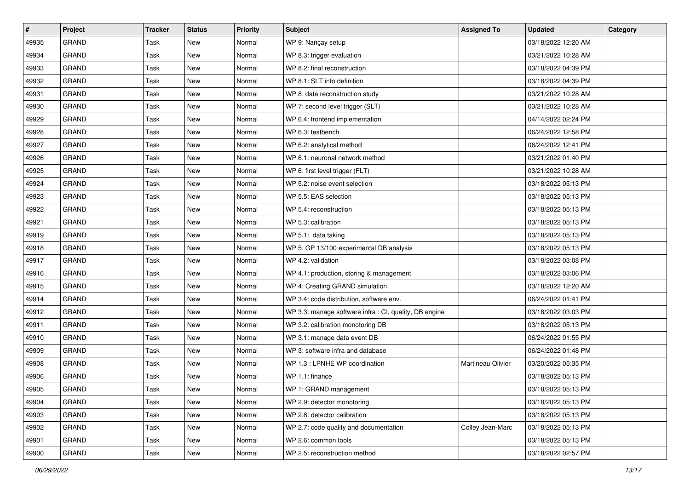| $\vert$ # | Project      | <b>Tracker</b> | <b>Status</b> | <b>Priority</b> | <b>Subject</b>                                         | <b>Assigned To</b> | <b>Updated</b>      | Category |
|-----------|--------------|----------------|---------------|-----------------|--------------------------------------------------------|--------------------|---------------------|----------|
| 49935     | <b>GRAND</b> | Task           | New           | Normal          | WP 9: Nançay setup                                     |                    | 03/18/2022 12:20 AM |          |
| 49934     | <b>GRAND</b> | Task           | New           | Normal          | WP 8.3: trigger evaluation                             |                    | 03/21/2022 10:28 AM |          |
| 49933     | <b>GRAND</b> | Task           | New           | Normal          | WP 8.2: final reconstruction                           |                    | 03/18/2022 04:39 PM |          |
| 49932     | <b>GRAND</b> | Task           | New           | Normal          | WP 8.1: SLT info definition                            |                    | 03/18/2022 04:39 PM |          |
| 49931     | <b>GRAND</b> | Task           | New           | Normal          | WP 8: data reconstruction study                        |                    | 03/21/2022 10:28 AM |          |
| 49930     | <b>GRAND</b> | Task           | New           | Normal          | WP 7: second level trigger (SLT)                       |                    | 03/21/2022 10:28 AM |          |
| 49929     | <b>GRAND</b> | Task           | New           | Normal          | WP 6.4: frontend implementation                        |                    | 04/14/2022 02:24 PM |          |
| 49928     | <b>GRAND</b> | Task           | New           | Normal          | WP 6.3: testbench                                      |                    | 06/24/2022 12:58 PM |          |
| 49927     | <b>GRAND</b> | Task           | New           | Normal          | WP 6.2: analytical method                              |                    | 06/24/2022 12:41 PM |          |
| 49926     | <b>GRAND</b> | Task           | New           | Normal          | WP 6.1: neuronal network method                        |                    | 03/21/2022 01:40 PM |          |
| 49925     | <b>GRAND</b> | Task           | New           | Normal          | WP 6: first level trigger (FLT)                        |                    | 03/21/2022 10:28 AM |          |
| 49924     | <b>GRAND</b> | Task           | New           | Normal          | WP 5.2: noise event selection                          |                    | 03/18/2022 05:13 PM |          |
| 49923     | GRAND        | Task           | New           | Normal          | WP 5.5: EAS selection                                  |                    | 03/18/2022 05:13 PM |          |
| 49922     | <b>GRAND</b> | Task           | <b>New</b>    | Normal          | WP 5.4: reconstruction                                 |                    | 03/18/2022 05:13 PM |          |
| 49921     | <b>GRAND</b> | Task           | New           | Normal          | WP 5.3: calibration                                    |                    | 03/18/2022 05:13 PM |          |
| 49919     | <b>GRAND</b> | Task           | New           | Normal          | WP 5.1: data taking                                    |                    | 03/18/2022 05:13 PM |          |
| 49918     | <b>GRAND</b> | Task           | New           | Normal          | WP 5: GP 13/100 experimental DB analysis               |                    | 03/18/2022 05:13 PM |          |
| 49917     | GRAND        | Task           | New           | Normal          | WP 4.2: validation                                     |                    | 03/18/2022 03:08 PM |          |
| 49916     | <b>GRAND</b> | Task           | New           | Normal          | WP 4.1: production, storing & management               |                    | 03/18/2022 03:06 PM |          |
| 49915     | <b>GRAND</b> | Task           | New           | Normal          | WP 4: Creating GRAND simulation                        |                    | 03/18/2022 12:20 AM |          |
| 49914     | <b>GRAND</b> | Task           | New           | Normal          | WP 3.4: code distribution, software env.               |                    | 06/24/2022 01:41 PM |          |
| 49912     | <b>GRAND</b> | Task           | New           | Normal          | WP 3.3: manage software infra : CI, quality, DB engine |                    | 03/18/2022 03:03 PM |          |
| 49911     | <b>GRAND</b> | Task           | New           | Normal          | WP 3.2: calibration monotoring DB                      |                    | 03/18/2022 05:13 PM |          |
| 49910     | <b>GRAND</b> | Task           | New           | Normal          | WP 3.1: manage data event DB                           |                    | 06/24/2022 01:55 PM |          |
| 49909     | <b>GRAND</b> | Task           | New           | Normal          | WP 3: software infra and database                      |                    | 06/24/2022 01:48 PM |          |
| 49908     | <b>GRAND</b> | Task           | New           | Normal          | WP 1.3 : LPNHE WP coordination                         | Martineau Olivier  | 03/20/2022 05:35 PM |          |
| 49906     | <b>GRAND</b> | Task           | <b>New</b>    | Normal          | WP 1.1: finance                                        |                    | 03/18/2022 05:13 PM |          |
| 49905     | GRAND        | Task           | New           | Normal          | WP 1: GRAND management                                 |                    | 03/18/2022 05:13 PM |          |
| 49904     | <b>GRAND</b> | Task           | New           | Normal          | WP 2.9: detector monotoring                            |                    | 03/18/2022 05:13 PM |          |
| 49903     | <b>GRAND</b> | Task           | New           | Normal          | WP 2.8: detector calibration                           |                    | 03/18/2022 05:13 PM |          |
| 49902     | GRAND        | Task           | New           | Normal          | WP 2.7: code quality and documentation                 | Colley Jean-Marc   | 03/18/2022 05:13 PM |          |
| 49901     | GRAND        | Task           | New           | Normal          | WP 2.6: common tools                                   |                    | 03/18/2022 05:13 PM |          |
| 49900     | GRAND        | Task           | New           | Normal          | WP 2.5: reconstruction method                          |                    | 03/18/2022 02:57 PM |          |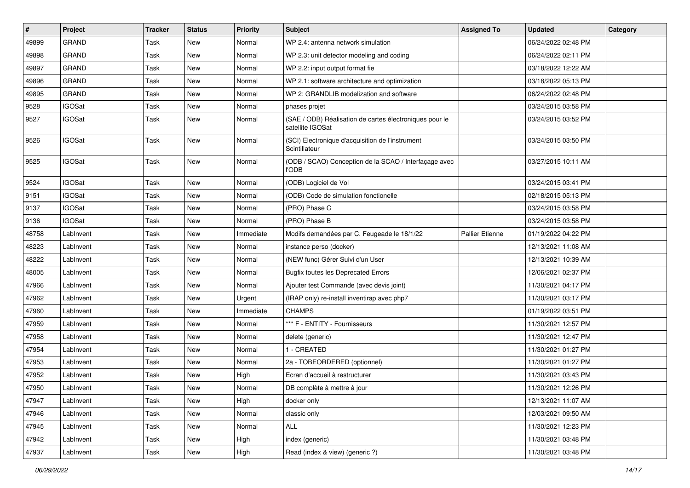| $\sharp$ | Project       | <b>Tracker</b> | <b>Status</b> | <b>Priority</b> | <b>Subject</b>                                                              | <b>Assigned To</b>     | <b>Updated</b>      | Category |
|----------|---------------|----------------|---------------|-----------------|-----------------------------------------------------------------------------|------------------------|---------------------|----------|
| 49899    | <b>GRAND</b>  | Task           | New           | Normal          | WP 2.4: antenna network simulation                                          |                        | 06/24/2022 02:48 PM |          |
| 49898    | <b>GRAND</b>  | Task           | New           | Normal          | WP 2.3: unit detector modeling and coding                                   |                        | 06/24/2022 02:11 PM |          |
| 49897    | <b>GRAND</b>  | Task           | New           | Normal          | WP 2.2: input output format fie                                             |                        | 03/18/2022 12:22 AM |          |
| 49896    | <b>GRAND</b>  | Task           | New           | Normal          | WP 2.1: software architecture and optimization                              |                        | 03/18/2022 05:13 PM |          |
| 49895    | <b>GRAND</b>  | Task           | New           | Normal          | WP 2: GRANDLIB modelization and software                                    |                        | 06/24/2022 02:48 PM |          |
| 9528     | <b>IGOSat</b> | Task           | New           | Normal          | phases projet                                                               |                        | 03/24/2015 03:58 PM |          |
| 9527     | <b>IGOSat</b> | Task           | New           | Normal          | (SAE / ODB) Réalisation de cartes électroniques pour le<br>satellite IGOSat |                        | 03/24/2015 03:52 PM |          |
| 9526     | <b>IGOSat</b> | Task           | New           | Normal          | (SCI) Electronique d'acquisition de l'instrument<br>Scintillateur           |                        | 03/24/2015 03:50 PM |          |
| 9525     | <b>IGOSat</b> | Task           | New           | Normal          | (ODB / SCAO) Conception de la SCAO / Interfaçage avec<br><b>I'ODB</b>       |                        | 03/27/2015 10:11 AM |          |
| 9524     | <b>IGOSat</b> | Task           | New           | Normal          | (ODB) Logiciel de Vol                                                       |                        | 03/24/2015 03:41 PM |          |
| 9151     | <b>IGOSat</b> | Task           | New           | Normal          | (ODB) Code de simulation fonctionelle                                       |                        | 02/18/2015 05:13 PM |          |
| 9137     | <b>IGOSat</b> | Task           | New           | Normal          | (PRO) Phase C                                                               |                        | 03/24/2015 03:58 PM |          |
| 9136     | <b>IGOSat</b> | Task           | New           | Normal          | (PRO) Phase B                                                               |                        | 03/24/2015 03:58 PM |          |
| 48758    | LabInvent     | Task           | New           | Immediate       | Modifs demandées par C. Feugeade le 18/1/22                                 | <b>Pallier Etienne</b> | 01/19/2022 04:22 PM |          |
| 48223    | LabInvent     | Task           | <b>New</b>    | Normal          | instance perso (docker)                                                     |                        | 12/13/2021 11:08 AM |          |
| 48222    | LabInvent     | Task           | New           | Normal          | (NEW func) Gérer Suivi d'un User                                            |                        | 12/13/2021 10:39 AM |          |
| 48005    | LabInvent     | Task           | New           | Normal          | <b>Bugfix toutes les Deprecated Errors</b>                                  |                        | 12/06/2021 02:37 PM |          |
| 47966    | LabInvent     | Task           | New           | Normal          | Ajouter test Commande (avec devis joint)                                    |                        | 11/30/2021 04:17 PM |          |
| 47962    | LabInvent     | Task           | <b>New</b>    | Urgent          | (IRAP only) re-install inventirap avec php7                                 |                        | 11/30/2021 03:17 PM |          |
| 47960    | LabInvent     | Task           | New           | Immediate       | <b>CHAMPS</b>                                                               |                        | 01/19/2022 03:51 PM |          |
| 47959    | LabInvent     | Task           | New           | Normal          | *** F - ENTITY - Fournisseurs                                               |                        | 11/30/2021 12:57 PM |          |
| 47958    | LabInvent     | Task           | New           | Normal          | delete (generic)                                                            |                        | 11/30/2021 12:47 PM |          |
| 47954    | LabInvent     | Task           | New           | Normal          | 1 - CREATED                                                                 |                        | 11/30/2021 01:27 PM |          |
| 47953    | LabInvent     | Task           | New           | Normal          | 2a - TOBEORDERED (optionnel)                                                |                        | 11/30/2021 01:27 PM |          |
| 47952    | LabInvent     | Task           | New           | High            | Ecran d'accueil à restructurer                                              |                        | 11/30/2021 03:43 PM |          |
| 47950    | LabInvent     | Task           | New           | Normal          | DB complète à mettre à jour                                                 |                        | 11/30/2021 12:26 PM |          |
| 47947    | LabInvent     | <b>Task</b>    | New           | High            | docker only                                                                 |                        | 12/13/2021 11:07 AM |          |
| 47946    | LabInvent     | Task           | New           | Normal          | classic only                                                                |                        | 12/03/2021 09:50 AM |          |
| 47945    | LabInvent     | Task           | New           | Normal          | <b>ALL</b>                                                                  |                        | 11/30/2021 12:23 PM |          |
| 47942    | LabInvent     | Task           | New           | High            | index (generic)                                                             |                        | 11/30/2021 03:48 PM |          |
| 47937    | LabInvent     | Task           | New           | High            | Read (index & view) (generic ?)                                             |                        | 11/30/2021 03:48 PM |          |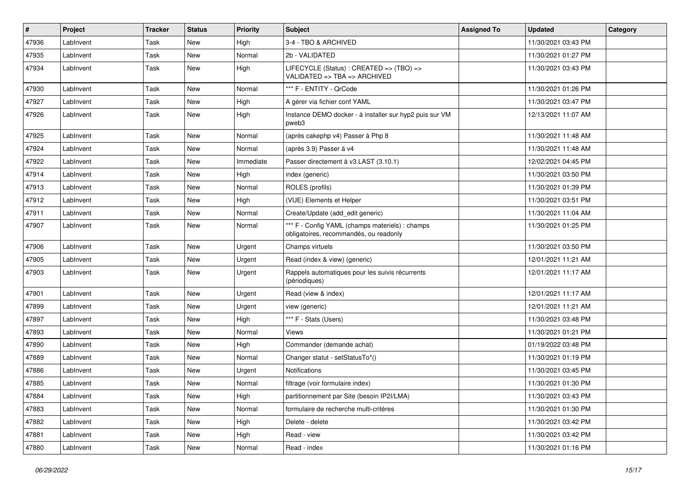| $\pmb{\#}$ | Project   | <b>Tracker</b> | <b>Status</b> | <b>Priority</b> | Subject                                                                                   | <b>Assigned To</b> | <b>Updated</b>      | Category |
|------------|-----------|----------------|---------------|-----------------|-------------------------------------------------------------------------------------------|--------------------|---------------------|----------|
| 47936      | LabInvent | Task           | New           | High            | 3-4 - TBO & ARCHIVED                                                                      |                    | 11/30/2021 03:43 PM |          |
| 47935      | LabInvent | Task           | New           | Normal          | 2b - VALIDATED                                                                            |                    | 11/30/2021 01:27 PM |          |
| 47934      | LabInvent | Task           | New           | High            | LIFECYCLE (Status) : CREATED => (TBO) =><br>VALIDATED => TBA => ARCHIVED                  |                    | 11/30/2021 03:43 PM |          |
| 47930      | LabInvent | Task           | <b>New</b>    | Normal          | *** F - ENTITY - QrCode                                                                   |                    | 11/30/2021 01:26 PM |          |
| 47927      | LabInvent | Task           | New           | High            | A gérer via fichier conf YAML                                                             |                    | 11/30/2021 03:47 PM |          |
| 47926      | LabInvent | Task           | New           | High            | Instance DEMO docker - à installer sur hyp2 puis sur VM<br>pweb3                          |                    | 12/13/2021 11:07 AM |          |
| 47925      | LabInvent | Task           | <b>New</b>    | Normal          | (après cakephp v4) Passer à Php 8                                                         |                    | 11/30/2021 11:48 AM |          |
| 47924      | LabInvent | Task           | <b>New</b>    | Normal          | (après 3.9) Passer à v4                                                                   |                    | 11/30/2021 11:48 AM |          |
| 47922      | LabInvent | Task           | New           | Immediate       | Passer directement à v3.LAST (3.10.1)                                                     |                    | 12/02/2021 04:45 PM |          |
| 47914      | LabInvent | Task           | New           | High            | index (generic)                                                                           |                    | 11/30/2021 03:50 PM |          |
| 47913      | LabInvent | Task           | New           | Normal          | ROLES (profils)                                                                           |                    | 11/30/2021 01:39 PM |          |
| 47912      | LabInvent | Task           | <b>New</b>    | High            | (VUE) Elements et Helper                                                                  |                    | 11/30/2021 03:51 PM |          |
| 47911      | LabInvent | Task           | <b>New</b>    | Normal          | Create/Update (add_edit generic)                                                          |                    | 11/30/2021 11:04 AM |          |
| 47907      | LabInvent | Task           | New           | Normal          | *** F - Config YAML (champs materiels) : champs<br>obligatoires, recommandés, ou readonly |                    | 11/30/2021 01:25 PM |          |
| 47906      | LabInvent | Task           | New           | Urgent          | Champs virtuels                                                                           |                    | 11/30/2021 03:50 PM |          |
| 47905      | LabInvent | Task           | New           | Urgent          | Read (index & view) (generic)                                                             |                    | 12/01/2021 11:21 AM |          |
| 47903      | LabInvent | Task           | New           | Urgent          | Rappels automatiques pour les suivis récurrents<br>(périodiques)                          |                    | 12/01/2021 11:17 AM |          |
| 47901      | LabInvent | Task           | New           | Urgent          | Read (view & index)                                                                       |                    | 12/01/2021 11:17 AM |          |
| 47899      | LabInvent | Task           | <b>New</b>    | Urgent          | view (generic)                                                                            |                    | 12/01/2021 11:21 AM |          |
| 47897      | LabInvent | Task           | New           | High            | *** F - Stats (Users)                                                                     |                    | 11/30/2021 03:48 PM |          |
| 47893      | LabInvent | Task           | New           | Normal          | Views                                                                                     |                    | 11/30/2021 01:21 PM |          |
| 47890      | LabInvent | Task           | <b>New</b>    | High            | Commander (demande achat)                                                                 |                    | 01/19/2022 03:48 PM |          |
| 47889      | LabInvent | Task           | New           | Normal          | Changer statut - setStatusTo*()                                                           |                    | 11/30/2021 01:19 PM |          |
| 47886      | LabInvent | Task           | <b>New</b>    | Urgent          | <b>Notifications</b>                                                                      |                    | 11/30/2021 03:45 PM |          |
| 47885      | LabInvent | Task           | New           | Normal          | filtrage (voir formulaire index)                                                          |                    | 11/30/2021 01:30 PM |          |
| 47884      | LabInvent | Task           | New           | High            | partitionnement par Site (besoin IP2I/LMA)                                                |                    | 11/30/2021 03:43 PM |          |
| 47883      | LabInvent | Task           | New           | Normal          | formulaire de recherche multi-critères                                                    |                    | 11/30/2021 01:30 PM |          |
| 47882      | LabInvent | Task           | New           | High            | Delete - delete                                                                           |                    | 11/30/2021 03:42 PM |          |
| 47881      | LabInvent | Task           | New           | High            | Read - view                                                                               |                    | 11/30/2021 03:42 PM |          |
| 47880      | LabInvent | Task           | New           | Normal          | Read - index                                                                              |                    | 11/30/2021 01:16 PM |          |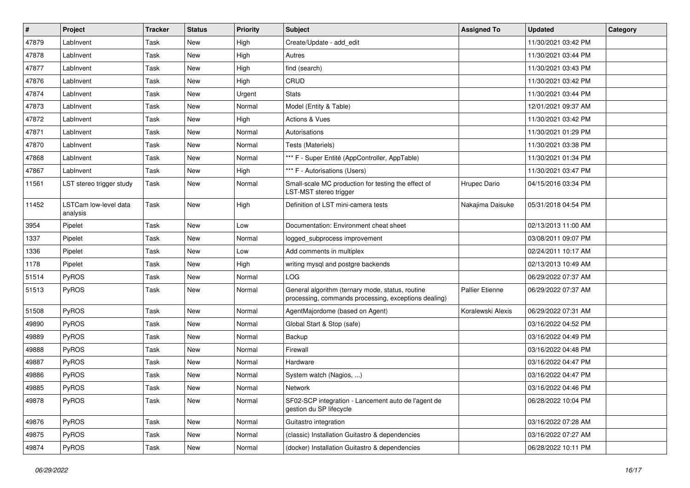| #     | Project                           | <b>Tracker</b> | <b>Status</b> | <b>Priority</b> | Subject                                                                                                  | <b>Assigned To</b>     | <b>Updated</b>      | Category |
|-------|-----------------------------------|----------------|---------------|-----------------|----------------------------------------------------------------------------------------------------------|------------------------|---------------------|----------|
| 47879 | LabInvent                         | Task           | <b>New</b>    | High            | Create/Update - add edit                                                                                 |                        | 11/30/2021 03:42 PM |          |
| 47878 | LabInvent                         | Task           | New           | High            | Autres                                                                                                   |                        | 11/30/2021 03:44 PM |          |
| 47877 | LabInvent                         | Task           | <b>New</b>    | High            | find (search)                                                                                            |                        | 11/30/2021 03:43 PM |          |
| 47876 | LabInvent                         | Task           | New           | High            | CRUD                                                                                                     |                        | 11/30/2021 03:42 PM |          |
| 47874 | LabInvent                         | Task           | New           | Urgent          | <b>Stats</b>                                                                                             |                        | 11/30/2021 03:44 PM |          |
| 47873 | LabInvent                         | Task           | New           | Normal          | Model (Entity & Table)                                                                                   |                        | 12/01/2021 09:37 AM |          |
| 47872 | LabInvent                         | Task           | <b>New</b>    | High            | Actions & Vues                                                                                           |                        | 11/30/2021 03:42 PM |          |
| 47871 | LabInvent                         | Task           | New           | Normal          | Autorisations                                                                                            |                        | 11/30/2021 01:29 PM |          |
| 47870 | LabInvent                         | Task           | New           | Normal          | Tests (Materiels)                                                                                        |                        | 11/30/2021 03:38 PM |          |
| 47868 | LabInvent                         | Task           | New           | Normal          | *** F - Super Entité (AppController, AppTable)                                                           |                        | 11/30/2021 01:34 PM |          |
| 47867 | LabInvent                         | Task           | <b>New</b>    | High            | *** F - Autorisations (Users)                                                                            |                        | 11/30/2021 03:47 PM |          |
| 11561 | LST stereo trigger study          | Task           | New           | Normal          | Small-scale MC production for testing the effect of<br>LST-MST stereo trigger                            | Hrupec Dario           | 04/15/2016 03:34 PM |          |
| 11452 | LSTCam low-level data<br>analysis | Task           | New           | High            | Definition of LST mini-camera tests                                                                      | Nakajima Daisuke       | 05/31/2018 04:54 PM |          |
| 3954  | Pipelet                           | Task           | New           | Low             | Documentation: Environment cheat sheet                                                                   |                        | 02/13/2013 11:00 AM |          |
| 1337  | Pipelet                           | Task           | New           | Normal          | logged_subprocess improvement                                                                            |                        | 03/08/2011 09:07 PM |          |
| 1336  | Pipelet                           | Task           | New           | Low             | Add comments in multiplex                                                                                |                        | 02/24/2011 10:17 AM |          |
| 1178  | Pipelet                           | Task           | <b>New</b>    | High            | writing mysql and postgre backends                                                                       |                        | 02/13/2013 10:49 AM |          |
| 51514 | PyROS                             | Task           | New           | Normal          | <b>LOG</b>                                                                                               |                        | 06/29/2022 07:37 AM |          |
| 51513 | PyROS                             | Task           | New           | Normal          | General algorithm (ternary mode, status, routine<br>processing, commands processing, exceptions dealing) | <b>Pallier Etienne</b> | 06/29/2022 07:37 AM |          |
| 51508 | PyROS                             | Task           | New           | Normal          | AgentMajordome (based on Agent)                                                                          | Koralewski Alexis      | 06/29/2022 07:31 AM |          |
| 49890 | PyROS                             | Task           | New           | Normal          | Global Start & Stop (safe)                                                                               |                        | 03/16/2022 04:52 PM |          |
| 49889 | PyROS                             | Task           | New           | Normal          | Backup                                                                                                   |                        | 03/16/2022 04:49 PM |          |
| 49888 | PyROS                             | Task           | New           | Normal          | Firewall                                                                                                 |                        | 03/16/2022 04:48 PM |          |
| 49887 | PyROS                             | Task           | New           | Normal          | Hardware                                                                                                 |                        | 03/16/2022 04:47 PM |          |
| 49886 | PyROS                             | Task           | New           | Normal          | System watch (Nagios, )                                                                                  |                        | 03/16/2022 04:47 PM |          |
| 49885 | PyROS                             | Task           | New           | Normal          | <b>Network</b>                                                                                           |                        | 03/16/2022 04:46 PM |          |
| 49878 | PyROS                             | Task           | New           | Normal          | SF02-SCP integration - Lancement auto de l'agent de<br>gestion du SP lifecycle                           |                        | 06/28/2022 10:04 PM |          |
| 49876 | PyROS                             | Task           | New           | Normal          | Guitastro integration                                                                                    |                        | 03/16/2022 07:28 AM |          |
| 49875 | PyROS                             | Task           | New           | Normal          | (classic) Installation Guitastro & dependencies                                                          |                        | 03/16/2022 07:27 AM |          |
| 49874 | PyROS                             | Task           | New           | Normal          | (docker) Installation Guitastro & dependencies                                                           |                        | 06/28/2022 10:11 PM |          |